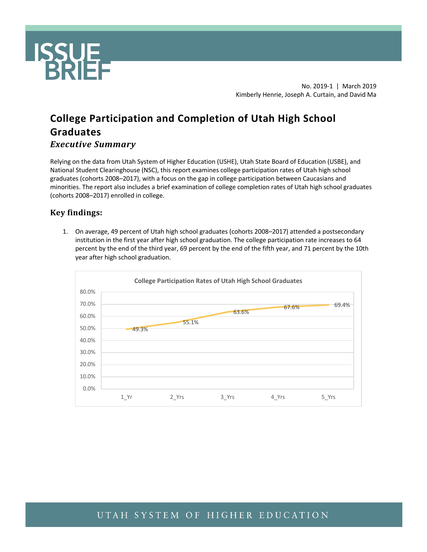

No. 2019-1 | March 2019 Kimberly Henrie, Joseph A. Curtain, and David Ma

# **College Participation and Completion of Utah High School Graduates**  *Executive Summary*

Relying on the data from Utah System of Higher Education (USHE), Utah State Board of Education (USBE), and National Student Clearinghouse (NSC), this report examines college participation rates of Utah high school graduates (cohorts 2008–2017), with a focus on the gap in college participation between Caucasians and minorities. The report also includes a brief examination of college completion rates of Utah high school graduates (cohorts 2008–2017) enrolled in college.

#### **Key findings:**

1. On average, 49 percent of Utah high school graduates (cohorts 2008–2017) attended a postsecondary institution in the first year after high school graduation. The college participation rate increases to 64 percent by the end of the third year, 69 percent by the end of the fifth year, and 71 percent by the 10th year after high school graduation.

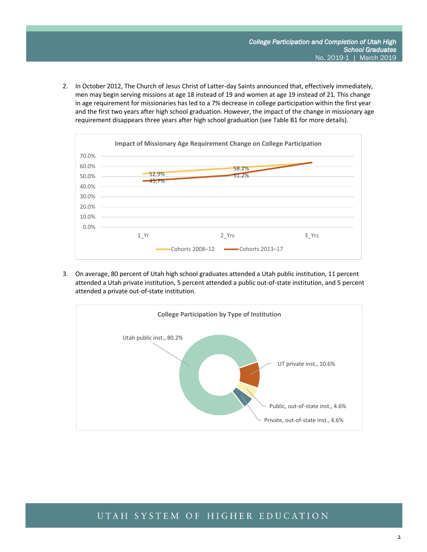2. In October 2012, The Church of Jesus Christ of Latter-day Saints announced that, effectively immediately, men may begin serving missions at age 18 instead of 19 and women at age 19 instead of 21. This change in age requirement for missionaries has led to a 7% decrease in college participation within the first year and the first two years after high school graduation. However, the impact of the change in missionary age requirement disappears three years after high school graduation (see Table B1 for more details).



3. On average, 80 percent of Utah high school graduates attended a Utah public institution, 11 percent attended a Utah private institution, 5 percent attended a public out-of-state institution, and 5 percent attended a private out-of-state institution.

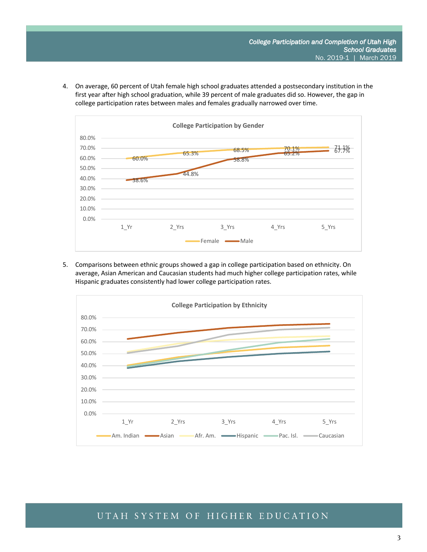4. On average, 60 percent of Utah female high school graduates attended a postsecondary institution in the first year after high school graduation, while 39 percent of male graduates did so. However, the gap in college participation rates between males and females gradually narrowed over time.



5. Comparisons between ethnic groups showed a gap in college participation based on ethnicity. On average, Asian American and Caucasian students had much higher college participation rates, while Hispanic graduates consistently had lower college participation rates.

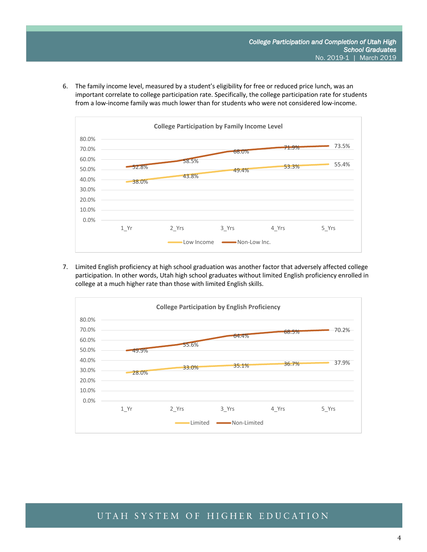6. The family income level, measured by a student's eligibility for free or reduced price lunch, was an important correlate to college participation rate. Specifically, the college participation rate for students from a low-income family was much lower than for students who were not considered low-income.



7. Limited English proficiency at high school graduation was another factor that adversely affected college participation. In other words, Utah high school graduates without limited English proficiency enrolled in college at a much higher rate than those with limited English skills.

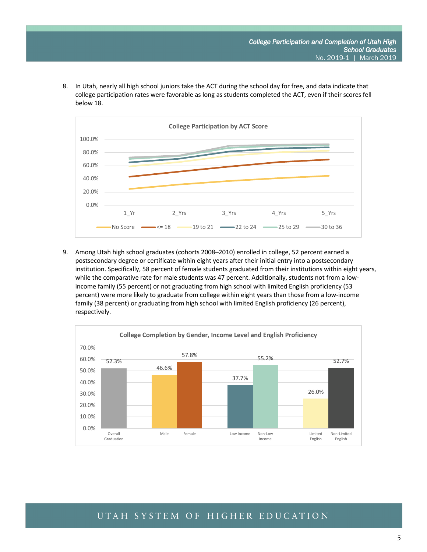8. In Utah, nearly all high school juniors take the ACT during the school day for free, and data indicate that college participation rates were favorable as long as students completed the ACT, even if their scores fell below 18.



9. Among Utah high school graduates (cohorts 2008–2010) enrolled in college, 52 percent earned a postsecondary degree or certificate within eight years after their initial entry into a postsecondary institution. Specifically, 58 percent of female students graduated from their institutions within eight years, while the comparative rate for male students was 47 percent. Additionally, students not from a lowincome family (55 percent) or not graduating from high school with limited English proficiency (53 percent) were more likely to graduate from college within eight years than those from a low-income family (38 percent) or graduating from high school with limited English proficiency (26 percent), respectively.

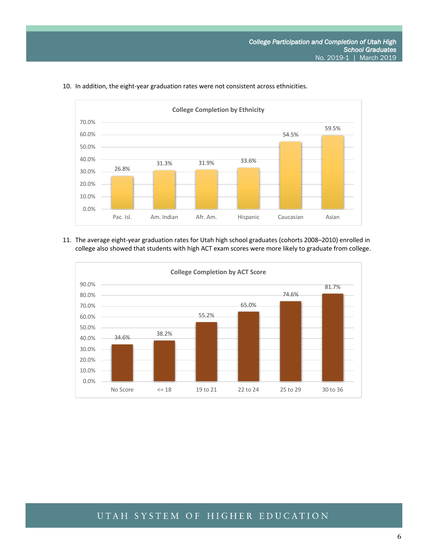

#### 10. In addition, the eight-year graduation rates were not consistent across ethnicities.

11. The average eight-year graduation rates for Utah high school graduates (cohorts 2008–2010) enrolled in college also showed that students with high ACT exam scores were more likely to graduate from college.

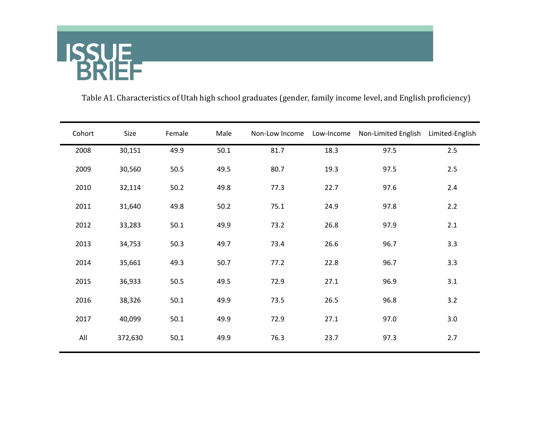

Table A1. Characteristics of Utah high school graduates (gender, family income level, and English proficiency)

| Cohort | Size    | Female | Male | Non-Low Income |      | Low-Income Non-Limited English Limited-English |       |
|--------|---------|--------|------|----------------|------|------------------------------------------------|-------|
| 2008   | 30,151  | 49.9   | 50.1 | 81.7           | 18.3 | 97.5                                           | 2.5   |
| 2009   | 30,560  | 50.5   | 49.5 | 80.7           | 19.3 | 97.5                                           | $2.5$ |
| 2010   | 32,114  | 50.2   | 49.8 | 77.3           | 22.7 | 97.6                                           | 2.4   |
| 2011   | 31,640  | 49.8   | 50.2 | 75.1           | 24.9 | 97.8                                           | 2.2   |
| 2012   | 33,283  | 50.1   | 49.9 | 73.2           | 26.8 | 97.9                                           | 2.1   |
| 2013   | 34,753  | 50.3   | 49.7 | 73.4           | 26.6 | 96.7                                           | 3.3   |
| 2014   | 35,661  | 49.3   | 50.7 | 77.2           | 22.8 | 96.7                                           | 3.3   |
| 2015   | 36,933  | 50.5   | 49.5 | 72.9           | 27.1 | 96.9                                           | 3.1   |
| 2016   | 38,326  | 50.1   | 49.9 | 73.5           | 26.5 | 96.8                                           | 3.2   |
| 2017   | 40,099  | 50.1   | 49.9 | 72.9           | 27.1 | 97.0                                           | 3.0   |
| All    | 372,630 | 50.1   | 49.9 | 76.3           | 23.7 | 97.3                                           | 2.7   |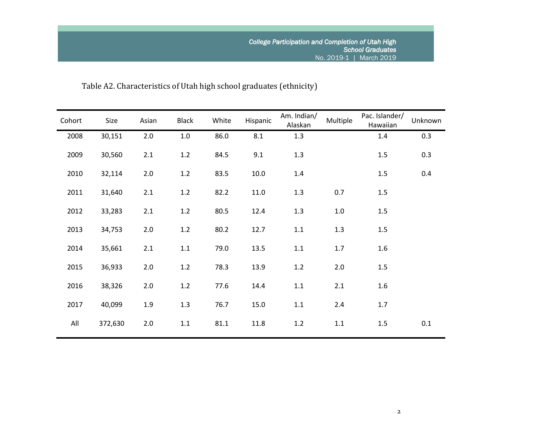# Table A2. Characteristics of Utah high school graduates (ethnicity)

| Cohort | Size    | Asian | <b>Black</b> | White | Hispanic | Am. Indian/<br>Alaskan | Multiple | Pac. Islander/<br>Hawaiian | Unknown |
|--------|---------|-------|--------------|-------|----------|------------------------|----------|----------------------------|---------|
| 2008   | 30,151  | $2.0$ | $1.0\,$      | 86.0  | 8.1      | 1.3                    |          | 1.4                        | 0.3     |
| 2009   | 30,560  | 2.1   | 1.2          | 84.5  | 9.1      | 1.3                    |          | 1.5                        | 0.3     |
| 2010   | 32,114  | $2.0$ | 1.2          | 83.5  | 10.0     | 1.4                    |          | 1.5                        | 0.4     |
| 2011   | 31,640  | 2.1   | 1.2          | 82.2  | 11.0     | 1.3                    | 0.7      | 1.5                        |         |
| 2012   | 33,283  | 2.1   | 1.2          | 80.5  | 12.4     | 1.3                    | $1.0\,$  | 1.5                        |         |
| 2013   | 34,753  | $2.0$ | 1.2          | 80.2  | 12.7     | $1.1\,$                | 1.3      | 1.5                        |         |
| 2014   | 35,661  | 2.1   | $1.1\,$      | 79.0  | 13.5     | $1.1\,$                | 1.7      | 1.6                        |         |
| 2015   | 36,933  | 2.0   | 1.2          | 78.3  | 13.9     | 1.2                    | 2.0      | 1.5                        |         |
| 2016   | 38,326  | $2.0$ | 1.2          | 77.6  | 14.4     | $1.1\,$                | 2.1      | 1.6                        |         |
| 2017   | 40,099  | 1.9   | 1.3          | 76.7  | 15.0     | 1.1                    | 2.4      | 1.7                        |         |
| All    | 372,630 | 2.0   | 1.1          | 81.1  | 11.8     | 1.2                    | 1.1      | 1.5                        | 0.1     |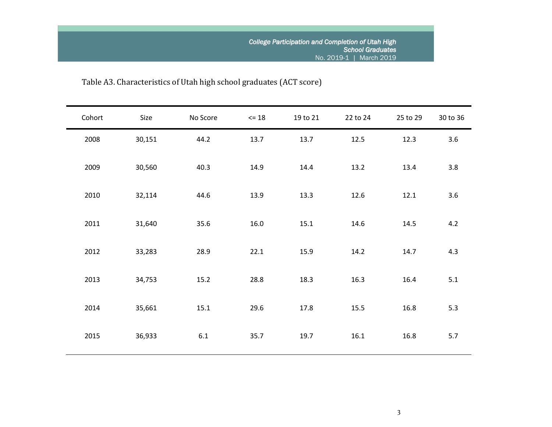# Table A3. Characteristics of Utah high school graduates (ACT score)

| Cohort | Size   | No Score | $\leq 18$ | 19 to 21 | 22 to 24 | 25 to 29 | 30 to 36 |
|--------|--------|----------|-----------|----------|----------|----------|----------|
| 2008   | 30,151 | 44.2     | 13.7      | 13.7     | 12.5     | 12.3     | 3.6      |
| 2009   | 30,560 | 40.3     | 14.9      | 14.4     | 13.2     | 13.4     | 3.8      |
| 2010   | 32,114 | 44.6     | 13.9      | 13.3     | 12.6     | 12.1     | 3.6      |
| 2011   | 31,640 | 35.6     | 16.0      | 15.1     | 14.6     | 14.5     | 4.2      |
| 2012   | 33,283 | 28.9     | 22.1      | 15.9     | 14.2     | 14.7     | 4.3      |
| 2013   | 34,753 | 15.2     | 28.8      | 18.3     | 16.3     | 16.4     | 5.1      |
| 2014   | 35,661 | 15.1     | 29.6      | 17.8     | 15.5     | 16.8     | 5.3      |
| 2015   | 36,933 | 6.1      | 35.7      | 19.7     | 16.1     | 16.8     | 5.7      |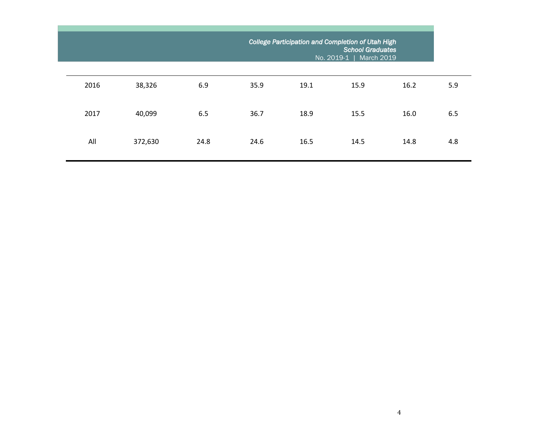|      |         |      | College Participation and Completion of Utah High<br><b>School Graduates</b><br>No. 2019-1  <br>March 2019 |      |      |      |     |  |  |
|------|---------|------|------------------------------------------------------------------------------------------------------------|------|------|------|-----|--|--|
| 2016 | 38,326  | 6.9  | 35.9                                                                                                       | 19.1 | 15.9 | 16.2 | 5.9 |  |  |
| 2017 | 40,099  | 6.5  | 36.7                                                                                                       | 18.9 | 15.5 | 16.0 | 6.5 |  |  |
| All  | 372,630 | 24.8 | 24.6                                                                                                       | 16.5 | 14.5 | 14.8 | 4.8 |  |  |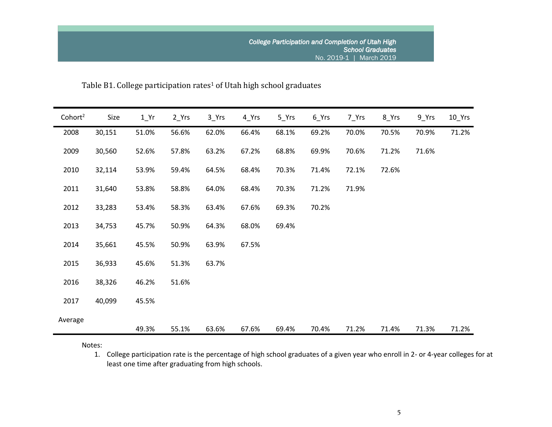Table B1. College participation rates<sup>1</sup> of Utah high school graduates

| Cohort <sup>2</sup> | Size   | $1_Yr$ | $2_Yrs$ | $3$ <sup>Yrs</sup> | 4_Yrs | $5$ <sup>Yrs</sup> | $6$ <sup>Yrs</sup> | 7_Yrs | 8_Yrs | $9$ Yrs | $10$ Yrs |
|---------------------|--------|--------|---------|--------------------|-------|--------------------|--------------------|-------|-------|---------|----------|
| 2008                | 30,151 | 51.0%  | 56.6%   | 62.0%              | 66.4% | 68.1%              | 69.2%              | 70.0% | 70.5% | 70.9%   | 71.2%    |
| 2009                | 30,560 | 52.6%  | 57.8%   | 63.2%              | 67.2% | 68.8%              | 69.9%              | 70.6% | 71.2% | 71.6%   |          |
| 2010                | 32,114 | 53.9%  | 59.4%   | 64.5%              | 68.4% | 70.3%              | 71.4%              | 72.1% | 72.6% |         |          |
| 2011                | 31,640 | 53.8%  | 58.8%   | 64.0%              | 68.4% | 70.3%              | 71.2%              | 71.9% |       |         |          |
| 2012                | 33,283 | 53.4%  | 58.3%   | 63.4%              | 67.6% | 69.3%              | 70.2%              |       |       |         |          |
| 2013                | 34,753 | 45.7%  | 50.9%   | 64.3%              | 68.0% | 69.4%              |                    |       |       |         |          |
| 2014                | 35,661 | 45.5%  | 50.9%   | 63.9%              | 67.5% |                    |                    |       |       |         |          |
| 2015                | 36,933 | 45.6%  | 51.3%   | 63.7%              |       |                    |                    |       |       |         |          |
| 2016                | 38,326 | 46.2%  | 51.6%   |                    |       |                    |                    |       |       |         |          |
| 2017                | 40,099 | 45.5%  |         |                    |       |                    |                    |       |       |         |          |
| Average             |        | 49.3%  | 55.1%   | 63.6%              | 67.6% | 69.4%              | 70.4%              | 71.2% | 71.4% | 71.3%   | 71.2%    |

Notes:

1. College participation rate is the percentage of high school graduates of a given year who enroll in 2- or 4-year colleges for at least one time after graduating from high schools.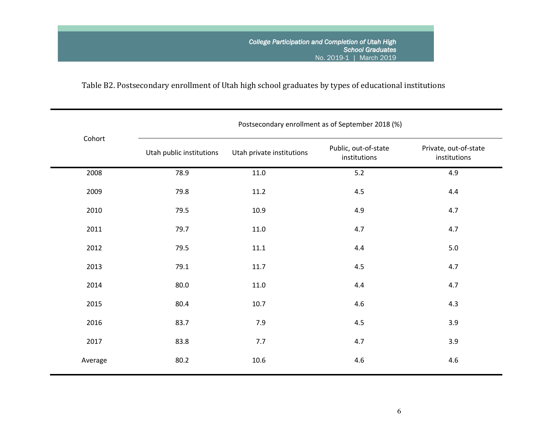# Table B2. Postsecondary enrollment of Utah high school graduates by types of educational institutions

|         | Postsecondary enrollment as of September 2018 (%) |                           |                                      |                                       |  |  |  |  |  |  |  |
|---------|---------------------------------------------------|---------------------------|--------------------------------------|---------------------------------------|--|--|--|--|--|--|--|
| Cohort  | Utah public institutions                          | Utah private institutions | Public, out-of-state<br>institutions | Private, out-of-state<br>institutions |  |  |  |  |  |  |  |
| 2008    | 78.9                                              | $11.0\,$                  | $5.2$                                | 4.9                                   |  |  |  |  |  |  |  |
| 2009    | 79.8                                              | 11.2                      | 4.5                                  | 4.4                                   |  |  |  |  |  |  |  |
| 2010    | 79.5                                              | 10.9                      | 4.9                                  | 4.7                                   |  |  |  |  |  |  |  |
| 2011    | 79.7                                              | $11.0\,$                  | 4.7                                  | 4.7                                   |  |  |  |  |  |  |  |
| 2012    | 79.5                                              | $11.1\,$                  | $4.4\,$                              | $5.0\,$                               |  |  |  |  |  |  |  |
| 2013    | 79.1                                              | 11.7                      | 4.5                                  | 4.7                                   |  |  |  |  |  |  |  |
| 2014    | 80.0                                              | 11.0                      | 4.4                                  | 4.7                                   |  |  |  |  |  |  |  |
| 2015    | 80.4                                              | 10.7                      | 4.6                                  | 4.3                                   |  |  |  |  |  |  |  |
| 2016    | 83.7                                              | 7.9                       | 4.5                                  | 3.9                                   |  |  |  |  |  |  |  |
| 2017    | 83.8                                              | 7.7                       | 4.7                                  | 3.9                                   |  |  |  |  |  |  |  |
| Average | 80.2                                              | 10.6                      | 4.6                                  | 4.6                                   |  |  |  |  |  |  |  |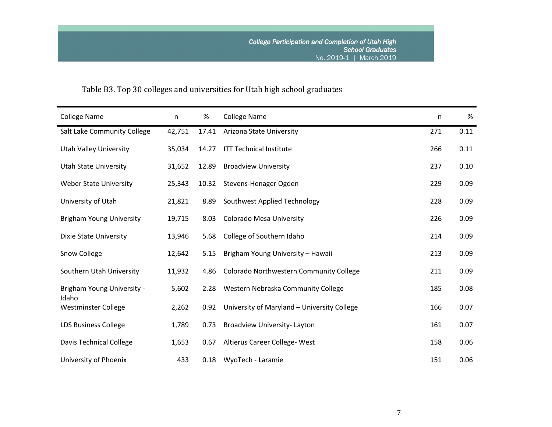# Table B3. Top 30 colleges and universities for Utah high school graduates

| <b>College Name</b>                 | n      | %     | <b>College Name</b>                         | n   | %    |
|-------------------------------------|--------|-------|---------------------------------------------|-----|------|
| Salt Lake Community College         | 42,751 | 17.41 | Arizona State University                    | 271 | 0.11 |
| <b>Utah Valley University</b>       | 35,034 | 14.27 | <b>ITT Technical Institute</b>              | 266 | 0.11 |
| <b>Utah State University</b>        | 31,652 | 12.89 | <b>Broadview University</b>                 | 237 | 0.10 |
| <b>Weber State University</b>       | 25,343 | 10.32 | Stevens-Henager Ogden                       | 229 | 0.09 |
| University of Utah                  | 21,821 | 8.89  | Southwest Applied Technology                | 228 | 0.09 |
| <b>Brigham Young University</b>     | 19,715 | 8.03  | Colorado Mesa University                    | 226 | 0.09 |
| <b>Dixie State University</b>       | 13,946 | 5.68  | College of Southern Idaho                   | 214 | 0.09 |
| Snow College                        | 12,642 | 5.15  | Brigham Young University - Hawaii           | 213 | 0.09 |
| Southern Utah University            | 11,932 | 4.86  | Colorado Northwestern Community College     | 211 | 0.09 |
| Brigham Young University -<br>Idaho | 5,602  | 2.28  | Western Nebraska Community College          | 185 | 0.08 |
| <b>Westminster College</b>          | 2,262  | 0.92  | University of Maryland - University College | 166 | 0.07 |
| <b>LDS Business College</b>         | 1,789  | 0.73  | Broadview University-Layton                 | 161 | 0.07 |
| <b>Davis Technical College</b>      | 1,653  | 0.67  | Altierus Career College- West               | 158 | 0.06 |
| University of Phoenix               | 433    | 0.18  | WyoTech - Laramie                           | 151 | 0.06 |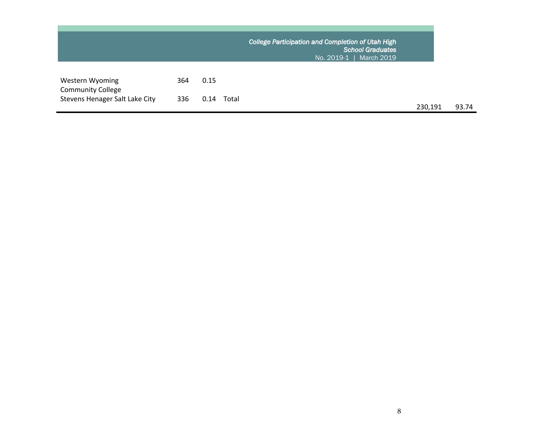|                                             |     |      |       | College Participation and Completion of Utah High<br><b>School Graduates</b><br>No. 2019-1  <br><b>March 2019</b> |         |
|---------------------------------------------|-----|------|-------|-------------------------------------------------------------------------------------------------------------------|---------|
| Western Wyoming<br><b>Community College</b> | 364 | 0.15 |       |                                                                                                                   |         |
| Stevens Henager Salt Lake City              | 336 | 0.14 | Total |                                                                                                                   | 230,191 |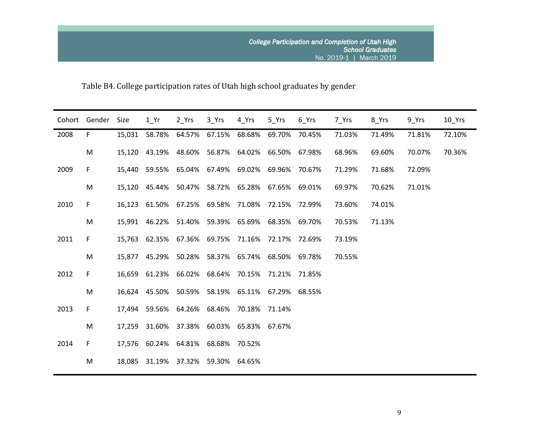Table B4. College participation rates of Utah high school graduates by gender

|      | Cohort Gender | Size   | 1 Yr   | 2 Yrs                                            | 3 Yrs  | 4 Yrs  | 5 Yrs                | 6 Yrs  | 7 Yrs  | 8 Yrs  | 9 Yrs  | 10 Yrs |
|------|---------------|--------|--------|--------------------------------------------------|--------|--------|----------------------|--------|--------|--------|--------|--------|
| 2008 | F.            | 15,031 | 58.78% | 64.57%                                           | 67.15% | 68.68% | 69.70%               | 70.45% | 71.03% | 71.49% | 71.81% | 72.10% |
|      | M             |        |        | 15,120 43.19% 48.60% 56.87%                      |        |        | 64.02% 66.50% 67.98% |        | 68.96% | 69.60% | 70.07% | 70.36% |
| 2009 | F.            | 15,440 |        | 59.55% 65.04% 67.49%                             |        | 69.02% | 69.96%               | 70.67% | 71.29% | 71.68% | 72.09% |        |
|      | M             |        |        | 15,120 45.44% 50.47% 58.72% 65.28% 67.65% 69.01% |        |        |                      |        | 69.97% | 70.62% | 71.01% |        |
| 2010 | F.            | 16,123 |        | 61.50% 67.25% 69.58%                             |        | 71.08% | 72.15% 72.99%        |        | 73.60% | 74.01% |        |        |
|      | M             |        |        | 15,991 46.22% 51.40% 59.39%                      |        |        | 65.69% 68.35% 69.70% |        | 70.53% | 71.13% |        |        |
| 2011 | F.            |        |        | 15,763 62.35% 67.36% 69.75%                      |        | 71.16% | 72.17% 72.69%        |        | 73.19% |        |        |        |
|      | M             |        |        | 15,877 45.29% 50.28% 58.37% 65.74% 68.50% 69.78% |        |        |                      |        | 70.55% |        |        |        |
| 2012 | F.            | 16,659 |        | 61.23% 66.02% 68.64%                             |        |        | 70.15% 71.21% 71.85% |        |        |        |        |        |
|      | M             |        |        | 16,624 45.50% 50.59% 58.19%                      |        |        | 65.11% 67.29% 68.55% |        |        |        |        |        |
| 2013 | F.            |        |        | 17,494 59.56% 64.26% 68.46%                      |        |        | 70.18% 71.14%        |        |        |        |        |        |
|      | M             | 17,259 |        | 31.60% 37.38% 60.03% 65.83% 67.67%               |        |        |                      |        |        |        |        |        |
| 2014 | F.            |        |        | 17,576 60.24% 64.81% 68.68%                      |        | 70.52% |                      |        |        |        |        |        |
|      | M             | 18,085 | 31.19% | 37.32% 59.30% 64.65%                             |        |        |                      |        |        |        |        |        |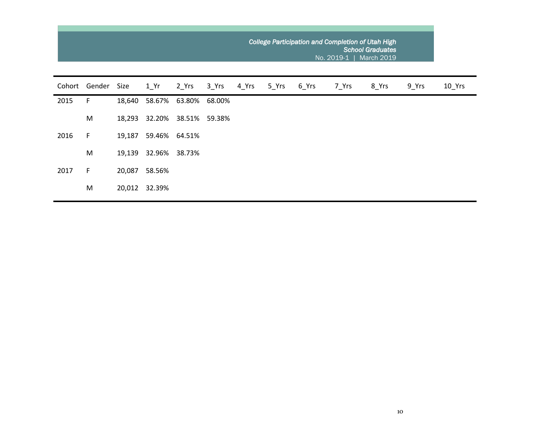|        |        |        |               |        |        | College Participation and Completion of Utah High<br><b>School Graduates</b><br><b>March 2019</b><br>No. 2019-1 |       |       |       |       |       |        |  |  |  |
|--------|--------|--------|---------------|--------|--------|-----------------------------------------------------------------------------------------------------------------|-------|-------|-------|-------|-------|--------|--|--|--|
| Cohort | Gender | Size   | 1 Yr          | 2 Yrs  | 3 Yrs  | 4 Yrs                                                                                                           | 5 Yrs | 6_Yrs | 7_Yrs | 8 Yrs | 9 Yrs | 10 Yrs |  |  |  |
| 2015   | F      | 18,640 | 58.67%        | 63.80% | 68.00% |                                                                                                                 |       |       |       |       |       |        |  |  |  |
|        | M      | 18,293 | 32.20%        | 38.51% | 59.38% |                                                                                                                 |       |       |       |       |       |        |  |  |  |
| 2016   | F      | 19,187 | 59.46% 64.51% |        |        |                                                                                                                 |       |       |       |       |       |        |  |  |  |
|        | M      | 19,139 | 32.96%        | 38.73% |        |                                                                                                                 |       |       |       |       |       |        |  |  |  |
| 2017   | F      | 20,087 | 58.56%        |        |        |                                                                                                                 |       |       |       |       |       |        |  |  |  |
|        | M      | 20,012 | 32.39%        |        |        |                                                                                                                 |       |       |       |       |       |        |  |  |  |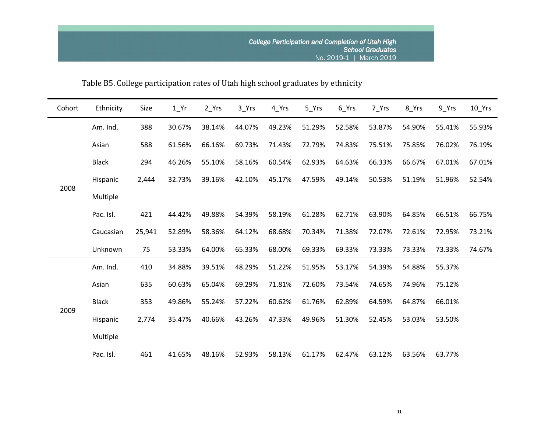| Cohort | Ethnicity    | Size   | $1_Yr$ | $2_Yrs$ | 3_Yrs  | 4_Yrs  | 5 Yrs  | $6$ <sup>Yrs</sup> | 7_Yrs  | 8_Yrs  | 9 Yrs  | $10$ Yrs |
|--------|--------------|--------|--------|---------|--------|--------|--------|--------------------|--------|--------|--------|----------|
|        | Am. Ind.     | 388    | 30.67% | 38.14%  | 44.07% | 49.23% | 51.29% | 52.58%             | 53.87% | 54.90% | 55.41% | 55.93%   |
|        | Asian        | 588    | 61.56% | 66.16%  | 69.73% | 71.43% | 72.79% | 74.83%             | 75.51% | 75.85% | 76.02% | 76.19%   |
|        | <b>Black</b> | 294    | 46.26% | 55.10%  | 58.16% | 60.54% | 62.93% | 64.63%             | 66.33% | 66.67% | 67.01% | 67.01%   |
|        | Hispanic     | 2,444  | 32.73% | 39.16%  | 42.10% | 45.17% | 47.59% | 49.14%             | 50.53% | 51.19% | 51.96% | 52.54%   |
| 2008   | Multiple     |        |        |         |        |        |        |                    |        |        |        |          |
|        | Pac. Isl.    | 421    | 44.42% | 49.88%  | 54.39% | 58.19% | 61.28% | 62.71%             | 63.90% | 64.85% | 66.51% | 66.75%   |
|        | Caucasian    | 25,941 | 52.89% | 58.36%  | 64.12% | 68.68% | 70.34% | 71.38%             | 72.07% | 72.61% | 72.95% | 73.21%   |
|        | Unknown      | 75     | 53.33% | 64.00%  | 65.33% | 68.00% | 69.33% | 69.33%             | 73.33% | 73.33% | 73.33% | 74.67%   |
|        | Am. Ind.     | 410    | 34.88% | 39.51%  | 48.29% | 51.22% | 51.95% | 53.17%             | 54.39% | 54.88% | 55.37% |          |
|        | Asian        | 635    | 60.63% | 65.04%  | 69.29% | 71.81% | 72.60% | 73.54%             | 74.65% | 74.96% | 75.12% |          |
|        | <b>Black</b> | 353    | 49.86% | 55.24%  | 57.22% | 60.62% | 61.76% | 62.89%             | 64.59% | 64.87% | 66.01% |          |
| 2009   | Hispanic     | 2,774  | 35.47% | 40.66%  | 43.26% | 47.33% | 49.96% | 51.30%             | 52.45% | 53.03% | 53.50% |          |
|        | Multiple     |        |        |         |        |        |        |                    |        |        |        |          |
|        | Pac. Isl.    | 461    | 41.65% | 48.16%  | 52.93% | 58.13% | 61.17% | 62.47%             | 63.12% | 63.56% | 63.77% |          |

Table B5. College participation rates of Utah high school graduates by ethnicity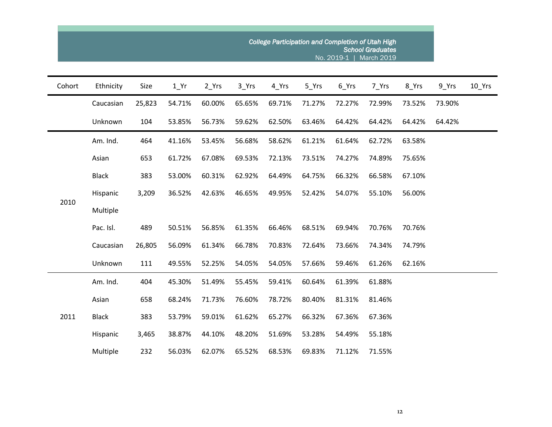|        |              |        |                   |        |        | College Participation and Completion of Utah High |        | No. 2019-1         | <b>School Graduates</b><br>March 2019 |        |        |          |
|--------|--------------|--------|-------------------|--------|--------|---------------------------------------------------|--------|--------------------|---------------------------------------|--------|--------|----------|
| Cohort | Ethnicity    | Size   | $1$ <sup>Yr</sup> | 2_Yrs  | 3_Yrs  | 4_Yrs                                             | 5_Yrs  | $6$ <sup>Yrs</sup> | 7_Yrs                                 | 8_Yrs  | 9_Yrs  | $10$ Yrs |
|        | Caucasian    | 25,823 | 54.71%            | 60.00% | 65.65% | 69.71%                                            | 71.27% | 72.27%             | 72.99%                                | 73.52% | 73.90% |          |
|        | Unknown      | 104    | 53.85%            | 56.73% | 59.62% | 62.50%                                            | 63.46% | 64.42%             | 64.42%                                | 64.42% | 64.42% |          |
|        | Am. Ind.     | 464    | 41.16%            | 53.45% | 56.68% | 58.62%                                            | 61.21% | 61.64%             | 62.72%                                | 63.58% |        |          |
|        | Asian        | 653    | 61.72%            | 67.08% | 69.53% | 72.13%                                            | 73.51% | 74.27%             | 74.89%                                | 75.65% |        |          |
|        | <b>Black</b> | 383    | 53.00%            | 60.31% | 62.92% | 64.49%                                            | 64.75% | 66.32%             | 66.58%                                | 67.10% |        |          |
|        | Hispanic     | 3,209  | 36.52%            | 42.63% | 46.65% | 49.95%                                            | 52.42% | 54.07%             | 55.10%                                | 56.00% |        |          |
| 2010   | Multiple     |        |                   |        |        |                                                   |        |                    |                                       |        |        |          |
|        | Pac. Isl.    | 489    | 50.51%            | 56.85% | 61.35% | 66.46%                                            | 68.51% | 69.94%             | 70.76%                                | 70.76% |        |          |
|        | Caucasian    | 26,805 | 56.09%            | 61.34% | 66.78% | 70.83%                                            | 72.64% | 73.66%             | 74.34%                                | 74.79% |        |          |
|        | Unknown      | 111    | 49.55%            | 52.25% | 54.05% | 54.05%                                            | 57.66% | 59.46%             | 61.26%                                | 62.16% |        |          |
|        | Am. Ind.     | 404    | 45.30%            | 51.49% | 55.45% | 59.41%                                            | 60.64% | 61.39%             | 61.88%                                |        |        |          |
|        | Asian        | 658    | 68.24%            | 71.73% | 76.60% | 78.72%                                            | 80.40% | 81.31%             | 81.46%                                |        |        |          |
| 2011   | <b>Black</b> | 383    | 53.79%            | 59.01% | 61.62% | 65.27%                                            | 66.32% | 67.36%             | 67.36%                                |        |        |          |
|        | Hispanic     | 3,465  | 38.87%            | 44.10% | 48.20% | 51.69%                                            | 53.28% | 54.49%             | 55.18%                                |        |        |          |
|        | Multiple     | 232    | 56.03%            | 62.07% | 65.52% | 68.53%                                            | 69.83% | 71.12%             | 71.55%                                |        |        |          |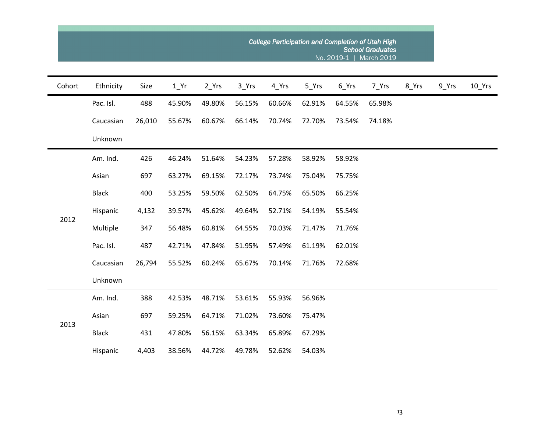|        |              |        |        |         |        |        |        |        | College Participation and Completion of Utah High<br><b>School Graduates</b><br>No. 2019-1   March 2019 |       |       |          |
|--------|--------------|--------|--------|---------|--------|--------|--------|--------|---------------------------------------------------------------------------------------------------------|-------|-------|----------|
| Cohort | Ethnicity    | Size   | $1$ Yr | $2_Yrs$ | 3_Yrs  | 4_Yrs  | 5_Yrs  | 6_Yrs  | 7_Yrs                                                                                                   | 8_Yrs | 9_Yrs | $10$ Yrs |
|        | Pac. Isl.    | 488    | 45.90% | 49.80%  | 56.15% | 60.66% | 62.91% | 64.55% | 65.98%                                                                                                  |       |       |          |
|        | Caucasian    | 26,010 | 55.67% | 60.67%  | 66.14% | 70.74% | 72.70% | 73.54% | 74.18%                                                                                                  |       |       |          |
|        | Unknown      |        |        |         |        |        |        |        |                                                                                                         |       |       |          |
|        | Am. Ind.     | 426    | 46.24% | 51.64%  | 54.23% | 57.28% | 58.92% | 58.92% |                                                                                                         |       |       |          |
|        | Asian        | 697    | 63.27% | 69.15%  | 72.17% | 73.74% | 75.04% | 75.75% |                                                                                                         |       |       |          |
|        | <b>Black</b> | 400    | 53.25% | 59.50%  | 62.50% | 64.75% | 65.50% | 66.25% |                                                                                                         |       |       |          |
|        | Hispanic     | 4,132  | 39.57% | 45.62%  | 49.64% | 52.71% | 54.19% | 55.54% |                                                                                                         |       |       |          |
| 2012   | Multiple     | 347    | 56.48% | 60.81%  | 64.55% | 70.03% | 71.47% | 71.76% |                                                                                                         |       |       |          |
|        | Pac. Isl.    | 487    | 42.71% | 47.84%  | 51.95% | 57.49% | 61.19% | 62.01% |                                                                                                         |       |       |          |
|        | Caucasian    | 26,794 | 55.52% | 60.24%  | 65.67% | 70.14% | 71.76% | 72.68% |                                                                                                         |       |       |          |
|        | Unknown      |        |        |         |        |        |        |        |                                                                                                         |       |       |          |
|        | Am. Ind.     | 388    | 42.53% | 48.71%  | 53.61% | 55.93% | 56.96% |        |                                                                                                         |       |       |          |
| 2013   | Asian        | 697    | 59.25% | 64.71%  | 71.02% | 73.60% | 75.47% |        |                                                                                                         |       |       |          |
|        | <b>Black</b> | 431    | 47.80% | 56.15%  | 63.34% | 65.89% | 67.29% |        |                                                                                                         |       |       |          |
|        | Hispanic     | 4,403  | 38.56% | 44.72%  | 49.78% | 52.62% | 54.03% |        |                                                                                                         |       |       |          |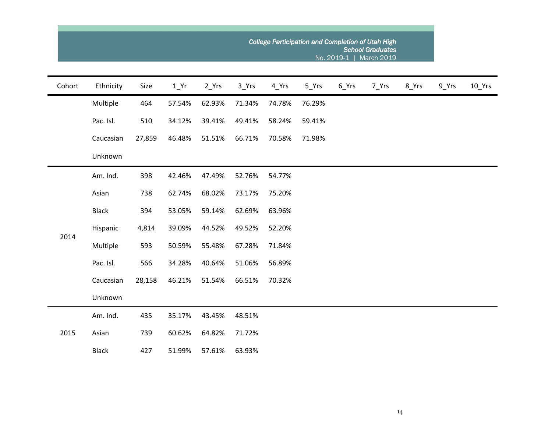|        |              |        |        |         |        |        | College Participation and Completion of Utah High |                    | <b>School Graduates</b><br>No. 2019-1   March 2019 |       |       |                     |
|--------|--------------|--------|--------|---------|--------|--------|---------------------------------------------------|--------------------|----------------------------------------------------|-------|-------|---------------------|
| Cohort | Ethnicity    | Size   | $1$ Yr | $2_Yrs$ | 3_Yrs  | 4_Yrs  | $5$ <sup>Yrs</sup>                                | $6$ <sup>Yrs</sup> | 7_Yrs                                              | 8_Yrs | 9_Yrs | $10$ <sup>Yrs</sup> |
|        | Multiple     | 464    | 57.54% | 62.93%  | 71.34% | 74.78% | 76.29%                                            |                    |                                                    |       |       |                     |
|        | Pac. Isl.    | 510    | 34.12% | 39.41%  | 49.41% | 58.24% | 59.41%                                            |                    |                                                    |       |       |                     |
|        | Caucasian    | 27,859 | 46.48% | 51.51%  | 66.71% | 70.58% | 71.98%                                            |                    |                                                    |       |       |                     |
|        | Unknown      |        |        |         |        |        |                                                   |                    |                                                    |       |       |                     |
|        | Am. Ind.     | 398    | 42.46% | 47.49%  | 52.76% | 54.77% |                                                   |                    |                                                    |       |       |                     |
|        | Asian        | 738    | 62.74% | 68.02%  | 73.17% | 75.20% |                                                   |                    |                                                    |       |       |                     |
|        | <b>Black</b> | 394    | 53.05% | 59.14%  | 62.69% | 63.96% |                                                   |                    |                                                    |       |       |                     |
| 2014   | Hispanic     | 4,814  | 39.09% | 44.52%  | 49.52% | 52.20% |                                                   |                    |                                                    |       |       |                     |
|        | Multiple     | 593    | 50.59% | 55.48%  | 67.28% | 71.84% |                                                   |                    |                                                    |       |       |                     |
|        | Pac. Isl.    | 566    | 34.28% | 40.64%  | 51.06% | 56.89% |                                                   |                    |                                                    |       |       |                     |
|        | Caucasian    | 28,158 | 46.21% | 51.54%  | 66.51% | 70.32% |                                                   |                    |                                                    |       |       |                     |
|        | Unknown      |        |        |         |        |        |                                                   |                    |                                                    |       |       |                     |
| 2015   | Am. Ind.     | 435    | 35.17% | 43.45%  | 48.51% |        |                                                   |                    |                                                    |       |       |                     |
|        | Asian        | 739    | 60.62% | 64.82%  | 71.72% |        |                                                   |                    |                                                    |       |       |                     |
|        | <b>Black</b> | 427    | 51.99% | 57.61%  | 63.93% |        |                                                   |                    |                                                    |       |       |                     |

14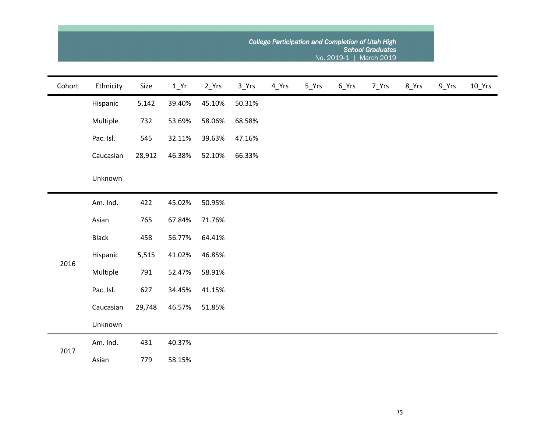|        |              |        | College Participation and Completion of Utah High<br><b>School Graduates</b><br>No. 2019-1   March 2019 |         |        |       |       |                    |       |       |       |                     |  |  |  |
|--------|--------------|--------|---------------------------------------------------------------------------------------------------------|---------|--------|-------|-------|--------------------|-------|-------|-------|---------------------|--|--|--|
| Cohort | Ethnicity    | Size   | $1$ <sup>Yr</sup>                                                                                       | $2_Yrs$ | 3_Yrs  | 4_Yrs | 5_Yrs | $6$ <sup>Yrs</sup> | 7_Yrs | 8_Yrs | 9_Yrs | $10$ <sup>Yrs</sup> |  |  |  |
|        | Hispanic     | 5,142  | 39.40%                                                                                                  | 45.10%  | 50.31% |       |       |                    |       |       |       |                     |  |  |  |
|        | Multiple     | 732    | 53.69%                                                                                                  | 58.06%  | 68.58% |       |       |                    |       |       |       |                     |  |  |  |
|        | Pac. Isl.    | 545    | 32.11%                                                                                                  | 39.63%  | 47.16% |       |       |                    |       |       |       |                     |  |  |  |
|        | Caucasian    | 28,912 | 46.38%                                                                                                  | 52.10%  | 66.33% |       |       |                    |       |       |       |                     |  |  |  |
|        | Unknown      |        |                                                                                                         |         |        |       |       |                    |       |       |       |                     |  |  |  |
|        | Am. Ind.     | 422    | 45.02%                                                                                                  | 50.95%  |        |       |       |                    |       |       |       |                     |  |  |  |
|        | Asian        | 765    | 67.84%                                                                                                  | 71.76%  |        |       |       |                    |       |       |       |                     |  |  |  |
|        | <b>Black</b> | 458    | 56.77%                                                                                                  | 64.41%  |        |       |       |                    |       |       |       |                     |  |  |  |
| 2016   | Hispanic     | 5,515  | 41.02%                                                                                                  | 46.85%  |        |       |       |                    |       |       |       |                     |  |  |  |
|        | Multiple     | 791    | 52.47%                                                                                                  | 58.91%  |        |       |       |                    |       |       |       |                     |  |  |  |
|        | Pac. Isl.    | 627    | 34.45%                                                                                                  | 41.15%  |        |       |       |                    |       |       |       |                     |  |  |  |
|        | Caucasian    | 29,748 | 46.57%                                                                                                  | 51.85%  |        |       |       |                    |       |       |       |                     |  |  |  |
|        | Unknown      |        |                                                                                                         |         |        |       |       |                    |       |       |       |                     |  |  |  |
| 2017   | Am. Ind.     | 431    | 40.37%                                                                                                  |         |        |       |       |                    |       |       |       |                     |  |  |  |
|        | Asian        | 779    | 58.15%                                                                                                  |         |        |       |       |                    |       |       |       |                     |  |  |  |

 $\sim$ 

and the control of the control of the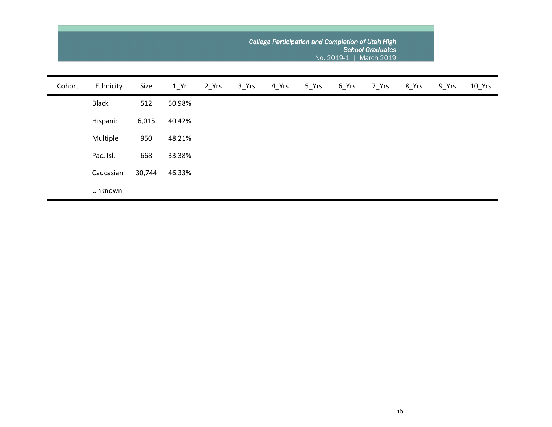|        |              |        |                   | College Participation and Completion of Utah High<br><b>School Graduates</b><br>No. 2019-1<br><b>March 2019</b> |                    |       |       |       |       |       |       |          |  |  |  |
|--------|--------------|--------|-------------------|-----------------------------------------------------------------------------------------------------------------|--------------------|-------|-------|-------|-------|-------|-------|----------|--|--|--|
| Cohort | Ethnicity    | Size   | $1$ <sup>Yr</sup> | 2_Yrs                                                                                                           | $3$ <sup>Yrs</sup> | 4 Yrs | 5 Yrs | 6_Yrs | 7 Yrs | 8_Yrs | 9_Yrs | $10$ Yrs |  |  |  |
|        | <b>Black</b> | 512    | 50.98%            |                                                                                                                 |                    |       |       |       |       |       |       |          |  |  |  |
|        | Hispanic     | 6,015  | 40.42%            |                                                                                                                 |                    |       |       |       |       |       |       |          |  |  |  |
|        | Multiple     | 950    | 48.21%            |                                                                                                                 |                    |       |       |       |       |       |       |          |  |  |  |
|        | Pac. Isl.    | 668    | 33.38%            |                                                                                                                 |                    |       |       |       |       |       |       |          |  |  |  |
|        | Caucasian    | 30,744 | 46.33%            |                                                                                                                 |                    |       |       |       |       |       |       |          |  |  |  |
|        | Unknown      |        |                   |                                                                                                                 |                    |       |       |       |       |       |       |          |  |  |  |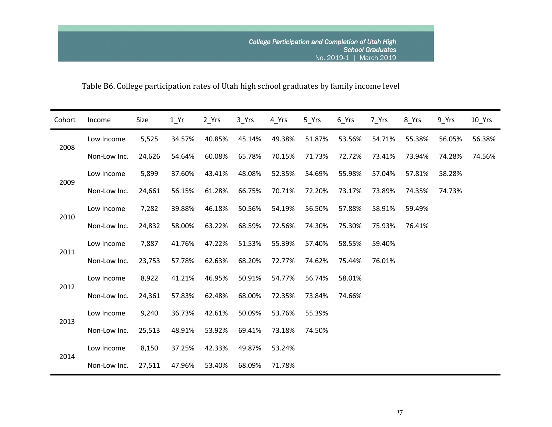# Table B6. College participation rates of Utah high school graduates by family income level

| Cohort | Income       | Size   | $1_Yr$ | 2_Yrs  | 3_Yrs  | 4_Yrs  | 5 Yrs  | 6_Yrs  | 7 Yrs  | 8_Yrs  | $9$ Yrs | $10$ Yrs |
|--------|--------------|--------|--------|--------|--------|--------|--------|--------|--------|--------|---------|----------|
| 2008   | Low Income   | 5,525  | 34.57% | 40.85% | 45.14% | 49.38% | 51.87% | 53.56% | 54.71% | 55.38% | 56.05%  | 56.38%   |
|        | Non-Low Inc. | 24,626 | 54.64% | 60.08% | 65.78% | 70.15% | 71.73% | 72.72% | 73.41% | 73.94% | 74.28%  | 74.56%   |
|        | Low Income   | 5,899  | 37.60% | 43.41% | 48.08% | 52.35% | 54.69% | 55.98% | 57.04% | 57.81% | 58.28%  |          |
| 2009   | Non-Low Inc. | 24,661 | 56.15% | 61.28% | 66.75% | 70.71% | 72.20% | 73.17% | 73.89% | 74.35% | 74.73%  |          |
|        | Low Income   | 7,282  | 39.88% | 46.18% | 50.56% | 54.19% | 56.50% | 57.88% | 58.91% | 59.49% |         |          |
| 2010   | Non-Low Inc. | 24,832 | 58.00% | 63.22% | 68.59% | 72.56% | 74.30% | 75.30% | 75.93% | 76.41% |         |          |
| 2011   | Low Income   | 7,887  | 41.76% | 47.22% | 51.53% | 55.39% | 57.40% | 58.55% | 59.40% |        |         |          |
|        | Non-Low Inc. | 23,753 | 57.78% | 62.63% | 68.20% | 72.77% | 74.62% | 75.44% | 76.01% |        |         |          |
| 2012   | Low Income   | 8,922  | 41.21% | 46.95% | 50.91% | 54.77% | 56.74% | 58.01% |        |        |         |          |
|        | Non-Low Inc. | 24,361 | 57.83% | 62.48% | 68.00% | 72.35% | 73.84% | 74.66% |        |        |         |          |
| 2013   | Low Income   | 9,240  | 36.73% | 42.61% | 50.09% | 53.76% | 55.39% |        |        |        |         |          |
|        | Non-Low Inc. | 25,513 | 48.91% | 53.92% | 69.41% | 73.18% | 74.50% |        |        |        |         |          |
|        | Low Income   | 8,150  | 37.25% | 42.33% | 49.87% | 53.24% |        |        |        |        |         |          |
| 2014   | Non-Low Inc. | 27,511 | 47.96% | 53.40% | 68.09% | 71.78% |        |        |        |        |         |          |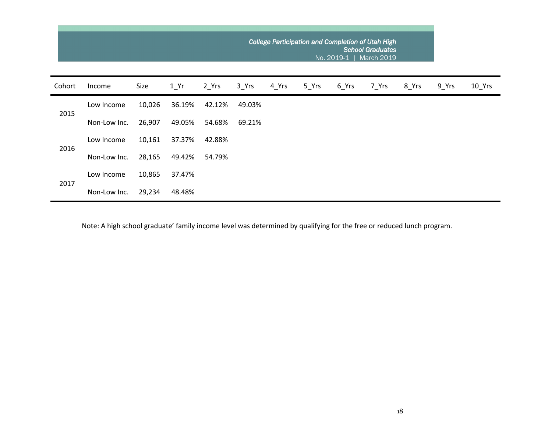|        |              |        |        |        | College Participation and Completion of Utah High | <b>School Graduates</b><br>March 2019 |       |       |       |       |       |          |
|--------|--------------|--------|--------|--------|---------------------------------------------------|---------------------------------------|-------|-------|-------|-------|-------|----------|
| Cohort | Income       | Size   | 1 Yr   | 2 Yrs  | 3 Yrs                                             | 4 Yrs                                 | 5 Yrs | 6 Yrs | 7 Yrs | 8_Yrs | 9 Yrs | $10$ Yrs |
| 2015   | Low Income   | 10,026 | 36.19% | 42.12% | 49.03%                                            |                                       |       |       |       |       |       |          |
|        | Non-Low Inc. | 26,907 | 49.05% | 54.68% | 69.21%                                            |                                       |       |       |       |       |       |          |
|        | Low Income   | 10,161 | 37.37% | 42.88% |                                                   |                                       |       |       |       |       |       |          |
| 2016   | Non-Low Inc. | 28,165 | 49.42% | 54.79% |                                                   |                                       |       |       |       |       |       |          |
| 2017   | Low Income   | 10,865 | 37.47% |        |                                                   |                                       |       |       |       |       |       |          |
|        | Non-Low Inc. | 29,234 | 48.48% |        |                                                   |                                       |       |       |       |       |       |          |

Note: A high school graduate' family income level was determined by qualifying for the free or reduced lunch program.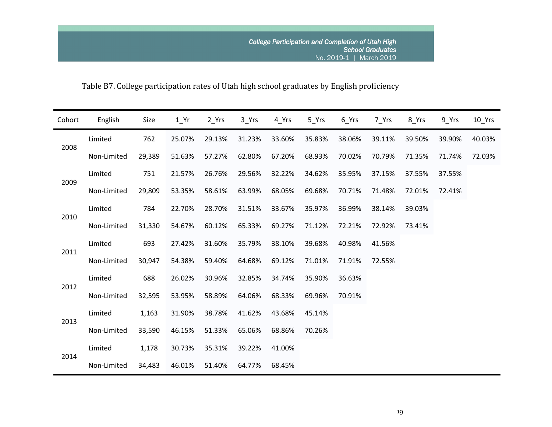# Table B7. College participation rates of Utah high school graduates by English proficiency

| Cohort | English     | Size   | $1_Yr$ | 2 Yrs  | $3$ <sup>Yrs</sup> | 4 Yrs  | 5_Yrs  | $6$ <sup>Yrs</sup> | 7 Yrs  | 8_Yrs  | $9$ Yrs | $10$ Yrs |
|--------|-------------|--------|--------|--------|--------------------|--------|--------|--------------------|--------|--------|---------|----------|
|        | Limited     | 762    | 25.07% | 29.13% | 31.23%             | 33.60% | 35.83% | 38.06%             | 39.11% | 39.50% | 39.90%  | 40.03%   |
| 2008   | Non-Limited | 29,389 | 51.63% | 57.27% | 62.80%             | 67.20% | 68.93% | 70.02%             | 70.79% | 71.35% | 71.74%  | 72.03%   |
| 2009   | Limited     | 751    | 21.57% | 26.76% | 29.56%             | 32.22% | 34.62% | 35.95%             | 37.15% | 37.55% | 37.55%  |          |
|        | Non-Limited | 29,809 | 53.35% | 58.61% | 63.99%             | 68.05% | 69.68% | 70.71%             | 71.48% | 72.01% | 72.41%  |          |
| 2010   | Limited     | 784    | 22.70% | 28.70% | 31.51%             | 33.67% | 35.97% | 36.99%             | 38.14% | 39.03% |         |          |
|        | Non-Limited | 31,330 | 54.67% | 60.12% | 65.33%             | 69.27% | 71.12% | 72.21%             | 72.92% | 73.41% |         |          |
| 2011   | Limited     | 693    | 27.42% | 31.60% | 35.79%             | 38.10% | 39.68% | 40.98%             | 41.56% |        |         |          |
|        | Non-Limited | 30,947 | 54.38% | 59.40% | 64.68%             | 69.12% | 71.01% | 71.91%             | 72.55% |        |         |          |
| 2012   | Limited     | 688    | 26.02% | 30.96% | 32.85%             | 34.74% | 35.90% | 36.63%             |        |        |         |          |
|        | Non-Limited | 32,595 | 53.95% | 58.89% | 64.06%             | 68.33% | 69.96% | 70.91%             |        |        |         |          |
| 2013   | Limited     | 1,163  | 31.90% | 38.78% | 41.62%             | 43.68% | 45.14% |                    |        |        |         |          |
|        | Non-Limited | 33,590 | 46.15% | 51.33% | 65.06%             | 68.86% | 70.26% |                    |        |        |         |          |
| 2014   | Limited     | 1,178  | 30.73% | 35.31% | 39.22%             | 41.00% |        |                    |        |        |         |          |
|        | Non-Limited | 34,483 | 46.01% | 51.40% | 64.77%             | 68.45% |        |                    |        |        |         |          |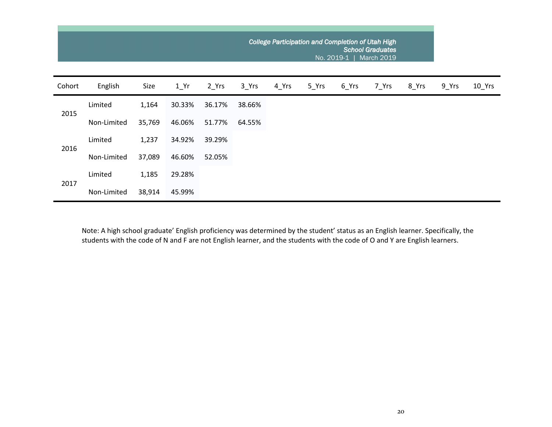|        |             |        |                   |        | College Participation and Completion of Utah High |       |       |       |       |       |       |          |
|--------|-------------|--------|-------------------|--------|---------------------------------------------------|-------|-------|-------|-------|-------|-------|----------|
| Cohort | English     | Size   | $1$ <sup>Yr</sup> | 2 Yrs  | 3 Yrs                                             | 4 Yrs | 5 Yrs | 6_Yrs | 7 Yrs | 8 Yrs | 9 Yrs | $10$ Yrs |
| 2015   | Limited     | 1,164  | 30.33%            | 36.17% | 38.66%                                            |       |       |       |       |       |       |          |
|        | Non-Limited | 35,769 | 46.06%            | 51.77% | 64.55%                                            |       |       |       |       |       |       |          |
| 2016   | Limited     | 1,237  | 34.92%            | 39.29% |                                                   |       |       |       |       |       |       |          |
|        | Non-Limited | 37,089 | 46.60%            | 52.05% |                                                   |       |       |       |       |       |       |          |
| 2017   | Limited     | 1,185  | 29.28%            |        |                                                   |       |       |       |       |       |       |          |
|        | Non-Limited | 38,914 | 45.99%            |        |                                                   |       |       |       |       |       |       |          |

Note: A high school graduate' English proficiency was determined by the student' status as an English learner. Specifically, the students with the code of N and F are not English learner, and the students with the code of O and Y are English learners.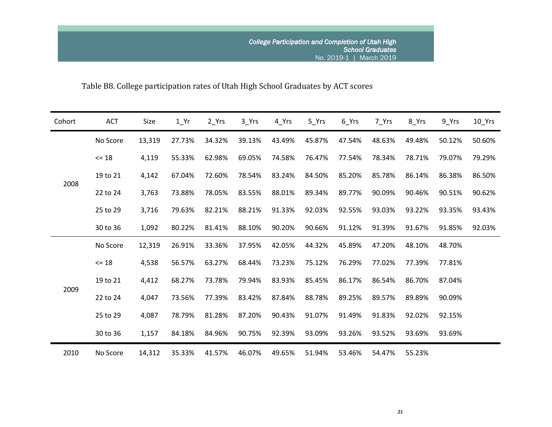# Table B8. College participation rates of Utah High School Graduates by ACT scores

| Cohort | ACT      | Size   | $1_Yr$ | 2_Yrs  | $3$ <sup>Yrs</sup> | 4 Yrs  | $5$ <sup>Yrs</sup> | $6$ <sup>Yrs</sup> | 7_Yrs  | 8_Yrs  | $9$ Yrs | $10$ Yrs |
|--------|----------|--------|--------|--------|--------------------|--------|--------------------|--------------------|--------|--------|---------|----------|
|        | No Score | 13,319 | 27.73% | 34.32% | 39.13%             | 43.49% | 45.87%             | 47.54%             | 48.63% | 49.48% | 50.12%  | 50.60%   |
|        | $= 18$   | 4,119  | 55.33% | 62.98% | 69.05%             | 74.58% | 76.47%             | 77.54%             | 78.34% | 78.71% | 79.07%  | 79.29%   |
|        | 19 to 21 | 4,142  | 67.04% | 72.60% | 78.54%             | 83.24% | 84.50%             | 85.20%             | 85.78% | 86.14% | 86.38%  | 86.50%   |
| 2008   | 22 to 24 | 3,763  | 73.88% | 78.05% | 83.55%             | 88.01% | 89.34%             | 89.77%             | 90.09% | 90.46% | 90.51%  | 90.62%   |
|        | 25 to 29 | 3,716  | 79.63% | 82.21% | 88.21%             | 91.33% | 92.03%             | 92.55%             | 93.03% | 93.22% | 93.35%  | 93.43%   |
|        | 30 to 36 | 1,092  | 80.22% | 81.41% | 88.10%             | 90.20% | 90.66%             | 91.12%             | 91.39% | 91.67% | 91.85%  | 92.03%   |
|        | No Score | 12,319 | 26.91% | 33.36% | 37.95%             | 42.05% | 44.32%             | 45.89%             | 47.20% | 48.10% | 48.70%  |          |
|        | $\le$ 18 | 4,538  | 56.57% | 63.27% | 68.44%             | 73.23% | 75.12%             | 76.29%             | 77.02% | 77.39% | 77.81%  |          |
|        | 19 to 21 | 4,412  | 68.27% | 73.78% | 79.94%             | 83.93% | 85.45%             | 86.17%             | 86.54% | 86.70% | 87.04%  |          |
| 2009   | 22 to 24 | 4,047  | 73.56% | 77.39% | 83.42%             | 87.84% | 88.78%             | 89.25%             | 89.57% | 89.89% | 90.09%  |          |
|        | 25 to 29 | 4,087  | 78.79% | 81.28% | 87.20%             | 90.43% | 91.07%             | 91.49%             | 91.83% | 92.02% | 92.15%  |          |
|        | 30 to 36 | 1,157  | 84.18% | 84.96% | 90.75%             | 92.39% | 93.09%             | 93.26%             | 93.52% | 93.69% | 93.69%  |          |
| 2010   | No Score | 14,312 | 35.33% | 41.57% | 46.07%             | 49.65% | 51.94%             | 53.46%             | 54.47% | 55.23% |         |          |

21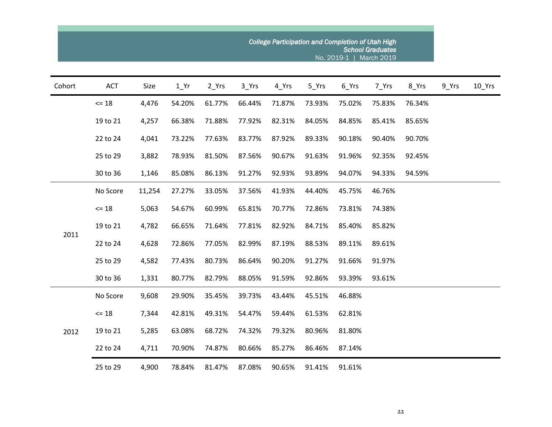| Cohort | <b>ACT</b> | Size   | 1 Yr   | 2 Yrs  | 3 Yrs  | 4 Yrs  | 5 Yrs  | 6_Yrs  | 7 Yrs  | 8_Yrs  | 9_Yrs | $10$ Yrs |
|--------|------------|--------|--------|--------|--------|--------|--------|--------|--------|--------|-------|----------|
|        | $\le$ 18   | 4,476  | 54.20% | 61.77% | 66.44% | 71.87% | 73.93% | 75.02% | 75.83% | 76.34% |       |          |
|        | 19 to 21   | 4,257  | 66.38% | 71.88% | 77.92% | 82.31% | 84.05% | 84.85% | 85.41% | 85.65% |       |          |
|        | 22 to 24   | 4,041  | 73.22% | 77.63% | 83.77% | 87.92% | 89.33% | 90.18% | 90.40% | 90.70% |       |          |
|        | 25 to 29   | 3,882  | 78.93% | 81.50% | 87.56% | 90.67% | 91.63% | 91.96% | 92.35% | 92.45% |       |          |
|        | 30 to 36   | 1,146  | 85.08% | 86.13% | 91.27% | 92.93% | 93.89% | 94.07% | 94.33% | 94.59% |       |          |
| 2011   | No Score   | 11,254 | 27.27% | 33.05% | 37.56% | 41.93% | 44.40% | 45.75% | 46.76% |        |       |          |
|        | $\leq 18$  | 5,063  | 54.67% | 60.99% | 65.81% | 70.77% | 72.86% | 73.81% | 74.38% |        |       |          |
|        | 19 to 21   | 4,782  | 66.65% | 71.64% | 77.81% | 82.92% | 84.71% | 85.40% | 85.82% |        |       |          |
|        | 22 to 24   | 4,628  | 72.86% | 77.05% | 82.99% | 87.19% | 88.53% | 89.11% | 89.61% |        |       |          |
|        | 25 to 29   | 4,582  | 77.43% | 80.73% | 86.64% | 90.20% | 91.27% | 91.66% | 91.97% |        |       |          |
|        | 30 to 36   | 1,331  | 80.77% | 82.79% | 88.05% | 91.59% | 92.86% | 93.39% | 93.61% |        |       |          |
|        | No Score   | 9,608  | 29.90% | 35.45% | 39.73% | 43.44% | 45.51% | 46.88% |        |        |       |          |
|        | $\leq 18$  | 7,344  | 42.81% | 49.31% | 54.47% | 59.44% | 61.53% | 62.81% |        |        |       |          |
| 2012   | 19 to 21   | 5,285  | 63.08% | 68.72% | 74.32% | 79.32% | 80.96% | 81.80% |        |        |       |          |
|        | 22 to 24   | 4,711  | 70.90% | 74.87% | 80.66% | 85.27% | 86.46% | 87.14% |        |        |       |          |
|        | 25 to 29   | 4,900  | 78.84% | 81.47% | 87.08% | 90.65% | 91.41% | 91.61% |        |        |       |          |

**College**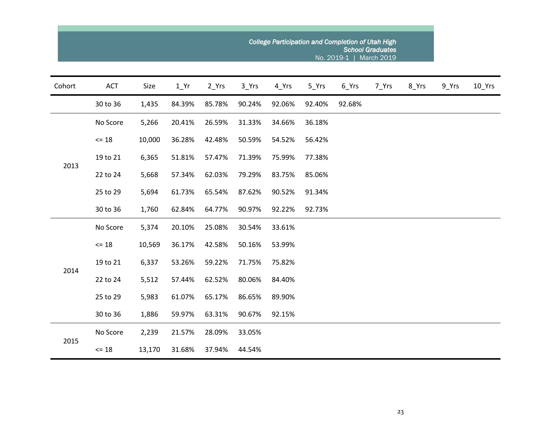|        |            |        |                   |        |        |        |        | College Participation and Completion of Utah High<br>No. 2019-1 | <b>School Graduates</b><br><b>March 2019</b> |       |       |          |
|--------|------------|--------|-------------------|--------|--------|--------|--------|-----------------------------------------------------------------|----------------------------------------------|-------|-------|----------|
| Cohort | <b>ACT</b> | Size   | $1$ <sup>Yr</sup> | 2_Yrs  | 3_Yrs  | 4_Yrs  | 5_Yrs  | 6_Yrs                                                           | 7_Yrs                                        | 8_Yrs | 9_Yrs | $10$ Yrs |
|        | 30 to 36   | 1,435  | 84.39%            | 85.78% | 90.24% | 92.06% | 92.40% | 92.68%                                                          |                                              |       |       |          |
|        | No Score   | 5,266  | 20.41%            | 26.59% | 31.33% | 34.66% | 36.18% |                                                                 |                                              |       |       |          |
|        | $<= 18$    | 10,000 | 36.28%            | 42.48% | 50.59% | 54.52% | 56.42% |                                                                 |                                              |       |       |          |
|        | 19 to 21   | 6,365  | 51.81%            | 57.47% | 71.39% | 75.99% | 77.38% |                                                                 |                                              |       |       |          |
| 2013   | 22 to 24   | 5,668  | 57.34%            | 62.03% | 79.29% | 83.75% | 85.06% |                                                                 |                                              |       |       |          |
|        | 25 to 29   | 5,694  | 61.73%            | 65.54% | 87.62% | 90.52% | 91.34% |                                                                 |                                              |       |       |          |
|        | 30 to 36   | 1,760  | 62.84%            | 64.77% | 90.97% | 92.22% | 92.73% |                                                                 |                                              |       |       |          |
|        | No Score   | 5,374  | 20.10%            | 25.08% | 30.54% | 33.61% |        |                                                                 |                                              |       |       |          |
|        | $<= 18$    | 10,569 | 36.17%            | 42.58% | 50.16% | 53.99% |        |                                                                 |                                              |       |       |          |
|        | 19 to 21   | 6,337  | 53.26%            | 59.22% | 71.75% | 75.82% |        |                                                                 |                                              |       |       |          |
| 2014   | 22 to 24   | 5,512  | 57.44%            | 62.52% | 80.06% | 84.40% |        |                                                                 |                                              |       |       |          |
|        | 25 to 29   | 5,983  | 61.07%            | 65.17% | 86.65% | 89.90% |        |                                                                 |                                              |       |       |          |
|        | 30 to 36   | 1,886  | 59.97%            | 63.31% | 90.67% | 92.15% |        |                                                                 |                                              |       |       |          |
|        | No Score   | 2,239  | 21.57%            | 28.09% | 33.05% |        |        |                                                                 |                                              |       |       |          |
| 2015   | $= 18$     | 13,170 | 31.68%            | 37.94% | 44.54% |        |        |                                                                 |                                              |       |       |          |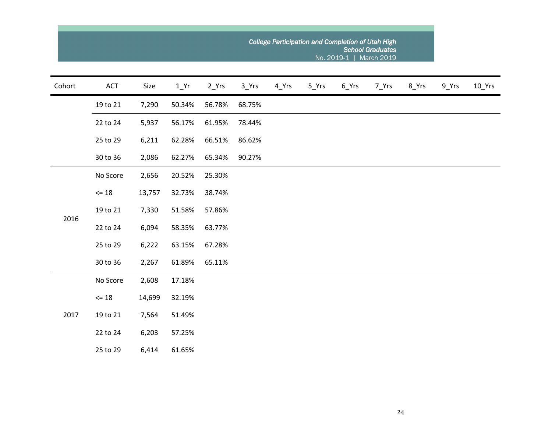| Cohort | ACT             | Size   | $1$ Yr | $2_Yrs$ | 3_Yrs  | $4$ <sup>Yrs</sup> | 5_Yrs | $6$ <sup>Yrs</sup> | 7_Yrs | 8_Yrs | $9$ <sup>Yrs</sup> | $10$ <sup>Yrs</sup> |
|--------|-----------------|--------|--------|---------|--------|--------------------|-------|--------------------|-------|-------|--------------------|---------------------|
|        | 19 to 21        | 7,290  | 50.34% | 56.78%  | 68.75% |                    |       |                    |       |       |                    |                     |
|        | 22 to 24        | 5,937  | 56.17% | 61.95%  | 78.44% |                    |       |                    |       |       |                    |                     |
|        | 25 to 29        | 6,211  | 62.28% | 66.51%  | 86.62% |                    |       |                    |       |       |                    |                     |
|        | 30 to 36        | 2,086  | 62.27% | 65.34%  | 90.27% |                    |       |                    |       |       |                    |                     |
| 2016   | No Score        | 2,656  | 20.52% | 25.30%  |        |                    |       |                    |       |       |                    |                     |
|        | $<= 18$         | 13,757 | 32.73% | 38.74%  |        |                    |       |                    |       |       |                    |                     |
|        | 19 to 21        | 7,330  | 51.58% | 57.86%  |        |                    |       |                    |       |       |                    |                     |
|        | 22 to 24        | 6,094  | 58.35% | 63.77%  |        |                    |       |                    |       |       |                    |                     |
|        | 25 to 29        | 6,222  | 63.15% | 67.28%  |        |                    |       |                    |       |       |                    |                     |
|        | 30 to 36        | 2,267  | 61.89% | 65.11%  |        |                    |       |                    |       |       |                    |                     |
|        | No Score        | 2,608  | 17.18% |         |        |                    |       |                    |       |       |                    |                     |
|        | $\Leftarrow$ 18 | 14,699 | 32.19% |         |        |                    |       |                    |       |       |                    |                     |
| 2017   | 19 to 21        | 7,564  | 51.49% |         |        |                    |       |                    |       |       |                    |                     |
|        | 22 to 24        | 6,203  | 57.25% |         |        |                    |       |                    |       |       |                    |                     |
|        | 25 to 29        | 6,414  | 61.65% |         |        |                    |       |                    |       |       |                    |                     |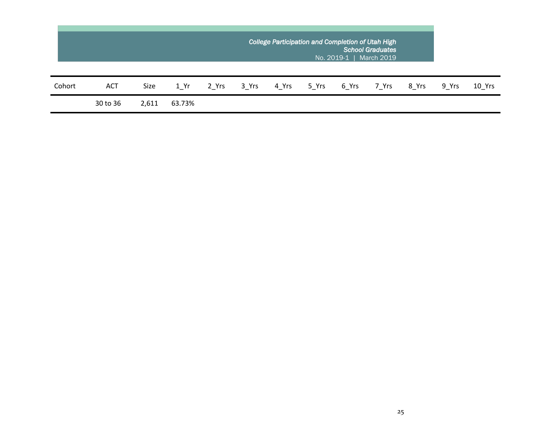|        |            |       |        |       |       |       | College Participation and Completion of Utah High<br>No. 2019-1 |       | <b>School Graduates</b><br>March 2019 |       |       |        |
|--------|------------|-------|--------|-------|-------|-------|-----------------------------------------------------------------|-------|---------------------------------------|-------|-------|--------|
| Cohort | <b>ACT</b> | Size  | 1 Yr   | 2 Yrs | 3 Yrs | 4 Yrs | 5 Yrs                                                           | 6 Yrs | 7 Yrs                                 | 8 Yrs | 9 Yrs | 10 Yrs |
|        | 30 to 36   | 2,611 | 63.73% |       |       |       |                                                                 |       |                                       |       |       |        |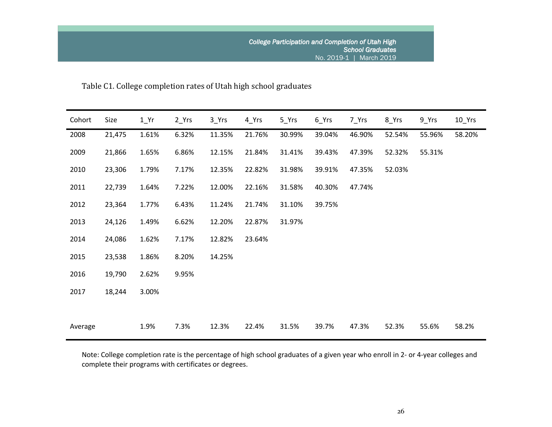Table C1. College completion rates of Utah high school graduates

| Cohort  | Size   | $1_Yr$ | 2 <sub>Yrs</sub> | $3$ <sup>Yrs</sup> | 4 Yrs  | $5$ <sup>Yrs</sup> | $6$ <sup>Yrs</sup> | 7_Yrs  | 8_Yrs  | $9$ <sup>Yrs</sup> | $10$ Yrs |
|---------|--------|--------|------------------|--------------------|--------|--------------------|--------------------|--------|--------|--------------------|----------|
| 2008    | 21,475 | 1.61%  | 6.32%            | 11.35%             | 21.76% | 30.99%             | 39.04%             | 46.90% | 52.54% | 55.96%             | 58.20%   |
| 2009    | 21,866 | 1.65%  | 6.86%            | 12.15%             | 21.84% | 31.41%             | 39.43%             | 47.39% | 52.32% | 55.31%             |          |
| 2010    | 23,306 | 1.79%  | 7.17%            | 12.35%             | 22.82% | 31.98%             | 39.91%             | 47.35% | 52.03% |                    |          |
| 2011    | 22,739 | 1.64%  | 7.22%            | 12.00%             | 22.16% | 31.58%             | 40.30%             | 47.74% |        |                    |          |
| 2012    | 23,364 | 1.77%  | 6.43%            | 11.24%             | 21.74% | 31.10%             | 39.75%             |        |        |                    |          |
| 2013    | 24,126 | 1.49%  | 6.62%            | 12.20%             | 22.87% | 31.97%             |                    |        |        |                    |          |
| 2014    | 24,086 | 1.62%  | 7.17%            | 12.82%             | 23.64% |                    |                    |        |        |                    |          |
| 2015    | 23,538 | 1.86%  | 8.20%            | 14.25%             |        |                    |                    |        |        |                    |          |
| 2016    | 19,790 | 2.62%  | 9.95%            |                    |        |                    |                    |        |        |                    |          |
| 2017    | 18,244 | 3.00%  |                  |                    |        |                    |                    |        |        |                    |          |
|         |        |        |                  |                    |        |                    |                    |        |        |                    |          |
| Average |        | 1.9%   | 7.3%             | 12.3%              | 22.4%  | 31.5%              | 39.7%              | 47.3%  | 52.3%  | 55.6%              | 58.2%    |

Note: College completion rate is the percentage of high school graduates of a given year who enroll in 2- or 4-year colleges and complete their programs with certificates or degrees.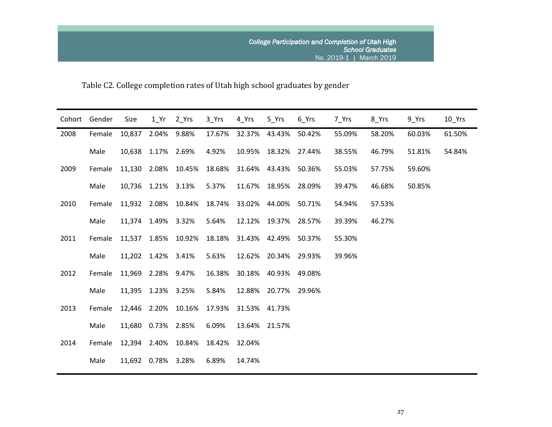Table C2. College completion rates of Utah high school graduates by gender

| Cohort | Gender | Size   | 1 Yr               | 2 Yrs               | 3 Yrs  | 4 Yrs                | 5 Yrs         | 6 Yrs  | 7 Yrs  | 8_Yrs  | 9 Yrs  | 10 Yrs |
|--------|--------|--------|--------------------|---------------------|--------|----------------------|---------------|--------|--------|--------|--------|--------|
| 2008   | Female | 10,837 | 2.04%              | 9.88%               | 17.67% |                      | 32.37% 43.43% | 50.42% | 55.09% | 58.20% | 60.03% | 61.50% |
|        | Male   |        | 10,638 1.17% 2.69% |                     | 4.92%  | 10.95%               | 18.32%        | 27.44% | 38.55% | 46.79% | 51.81% | 54.84% |
| 2009   | Female | 11,130 |                    | 2.08% 10.45%        | 18.68% |                      | 31.64% 43.43% | 50.36% | 55.03% | 57.75% | 59.60% |        |
|        | Male   |        | 10,736 1.21% 3.13% |                     | 5.37%  |                      | 11.67% 18.95% | 28.09% | 39.47% | 46.68% | 50.85% |        |
| 2010   | Female |        |                    | 11,932 2.08% 10.84% | 18.74% | 33.02% 44.00%        |               | 50.71% | 54.94% | 57.53% |        |        |
|        | Male   |        | 11,374 1.49% 3.32% |                     | 5.64%  |                      | 12.12% 19.37% | 28.57% | 39.39% | 46.27% |        |        |
| 2011   | Female |        |                    | 11,537 1.85% 10.92% | 18.18% | 31.43% 42.49%        |               | 50.37% | 55.30% |        |        |        |
|        | Male   |        | 11,202 1.42% 3.41% |                     | 5.63%  |                      | 12.62% 20.34% | 29.93% | 39.96% |        |        |        |
| 2012   | Female |        | 11,969 2.28% 9.47% |                     | 16.38% |                      | 30.18% 40.93% | 49.08% |        |        |        |        |
|        | Male   |        | 11,395 1.23% 3.25% |                     | 5.84%  |                      | 12.88% 20.77% | 29.96% |        |        |        |        |
| 2013   | Female |        |                    | 12,446 2.20% 10.16% |        | 17.93% 31.53% 41.73% |               |        |        |        |        |        |
|        | Male   |        | 11,680 0.73% 2.85% |                     | 6.09%  |                      | 13.64% 21.57% |        |        |        |        |        |
| 2014   | Female |        |                    | 12,394 2.40% 10.84% | 18.42% | 32.04%               |               |        |        |        |        |        |
|        | Male   |        | 11,692 0.78% 3.28% |                     | 6.89%  | 14.74%               |               |        |        |        |        |        |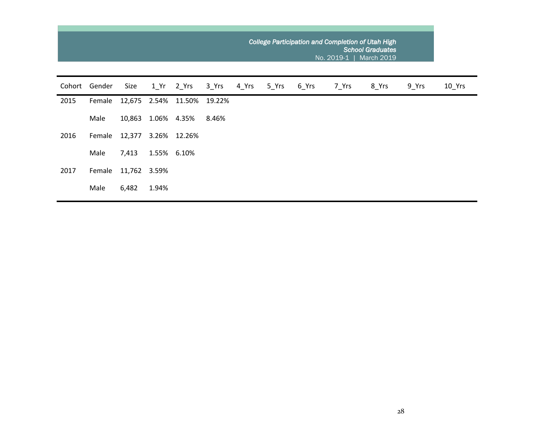|        |        |              |       |                     |        | College Participation and Completion of Utah High<br><b>School Graduates</b><br>No. 2019-1   March 2019 |       |         |       |       |       |          |  |  |  |  |
|--------|--------|--------------|-------|---------------------|--------|---------------------------------------------------------------------------------------------------------|-------|---------|-------|-------|-------|----------|--|--|--|--|
| Cohort | Gender | Size         |       | 1 Yr 2 Yrs          | 3_Yrs  | 4 Yrs                                                                                                   | 5 Yrs | $6$ Yrs | 7 Yrs | 8_Yrs | 9 Yrs | $10$ Yrs |  |  |  |  |
| 2015   | Female |              |       | 12,675 2.54% 11.50% | 19.22% |                                                                                                         |       |         |       |       |       |          |  |  |  |  |
|        | Male   | 10,863       |       | 1.06% 4.35%         | 8.46%  |                                                                                                         |       |         |       |       |       |          |  |  |  |  |
| 2016   | Female | 12,377       |       | 3.26% 12.26%        |        |                                                                                                         |       |         |       |       |       |          |  |  |  |  |
|        | Male   | 7,413        |       | 1.55% 6.10%         |        |                                                                                                         |       |         |       |       |       |          |  |  |  |  |
| 2017   | Female | 11,762 3.59% |       |                     |        |                                                                                                         |       |         |       |       |       |          |  |  |  |  |
|        | Male   | 6,482        | 1.94% |                     |        |                                                                                                         |       |         |       |       |       |          |  |  |  |  |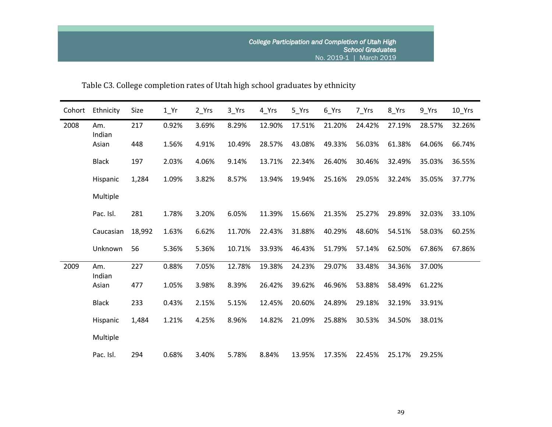| Cohort | Ethnicity     | Size   | $1_Yr$ | 2_Yrs | 3_Yrs  | 4_Yrs  | 5_Yrs  | 6_Yrs  | 7 Yrs  | 8_Yrs  | 9_Yrs  | $10$ Yrs |
|--------|---------------|--------|--------|-------|--------|--------|--------|--------|--------|--------|--------|----------|
| 2008   | Am.<br>Indian | 217    | 0.92%  | 3.69% | 8.29%  | 12.90% | 17.51% | 21.20% | 24.42% | 27.19% | 28.57% | 32.26%   |
|        | Asian         | 448    | 1.56%  | 4.91% | 10.49% | 28.57% | 43.08% | 49.33% | 56.03% | 61.38% | 64.06% | 66.74%   |
|        | <b>Black</b>  | 197    | 2.03%  | 4.06% | 9.14%  | 13.71% | 22.34% | 26.40% | 30.46% | 32.49% | 35.03% | 36.55%   |
|        | Hispanic      | 1,284  | 1.09%  | 3.82% | 8.57%  | 13.94% | 19.94% | 25.16% | 29.05% | 32.24% | 35.05% | 37.77%   |
|        | Multiple      |        |        |       |        |        |        |        |        |        |        |          |
|        | Pac. Isl.     | 281    | 1.78%  | 3.20% | 6.05%  | 11.39% | 15.66% | 21.35% | 25.27% | 29.89% | 32.03% | 33.10%   |
|        | Caucasian     | 18,992 | 1.63%  | 6.62% | 11.70% | 22.43% | 31.88% | 40.29% | 48.60% | 54.51% | 58.03% | 60.25%   |
|        | Unknown       | 56     | 5.36%  | 5.36% | 10.71% | 33.93% | 46.43% | 51.79% | 57.14% | 62.50% | 67.86% | 67.86%   |
| 2009   | Am.<br>Indian | 227    | 0.88%  | 7.05% | 12.78% | 19.38% | 24.23% | 29.07% | 33.48% | 34.36% | 37.00% |          |
|        | Asian         | 477    | 1.05%  | 3.98% | 8.39%  | 26.42% | 39.62% | 46.96% | 53.88% | 58.49% | 61.22% |          |
|        | <b>Black</b>  | 233    | 0.43%  | 2.15% | 5.15%  | 12.45% | 20.60% | 24.89% | 29.18% | 32.19% | 33.91% |          |
|        | Hispanic      | 1,484  | 1.21%  | 4.25% | 8.96%  | 14.82% | 21.09% | 25.88% | 30.53% | 34.50% | 38.01% |          |
|        | Multiple      |        |        |       |        |        |        |        |        |        |        |          |
|        | Pac. Isl.     | 294    | 0.68%  | 3.40% | 5.78%  | 8.84%  | 13.95% | 17.35% | 22.45% | 25.17% | 29.25% |          |

Table C3. College completion rates of Utah high school graduates by ethnicity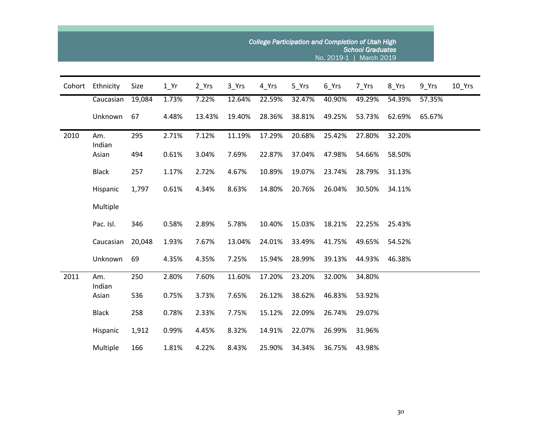|        |               |        |        |        | College Participation and Completion of Utah High |        |        |        |        |        |        |        |
|--------|---------------|--------|--------|--------|---------------------------------------------------|--------|--------|--------|--------|--------|--------|--------|
| Cohort | Ethnicity     | Size   | $1$ Yr | 2 Yrs  | 3 Yrs                                             | 4 Yrs  | 5 Yrs  | 6 Yrs  | 7 Yrs  | 8 Yrs  | 9 Yrs  | 10_Yrs |
|        | Caucasian     | 19,084 | 1.73%  | 7.22%  | 12.64%                                            | 22.59% | 32.47% | 40.90% | 49.29% | 54.39% | 57.35% |        |
|        | Unknown       | 67     | 4.48%  | 13.43% | 19.40%                                            | 28.36% | 38.81% | 49.25% | 53.73% | 62.69% | 65.67% |        |
| 2010   | Am.<br>Indian | 295    | 2.71%  | 7.12%  | 11.19%                                            | 17.29% | 20.68% | 25.42% | 27.80% | 32.20% |        |        |
|        | Asian         | 494    | 0.61%  | 3.04%  | 7.69%                                             | 22.87% | 37.04% | 47.98% | 54.66% | 58.50% |        |        |
|        | <b>Black</b>  | 257    | 1.17%  | 2.72%  | 4.67%                                             | 10.89% | 19.07% | 23.74% | 28.79% | 31.13% |        |        |
|        | Hispanic      | 1,797  | 0.61%  | 4.34%  | 8.63%                                             | 14.80% | 20.76% | 26.04% | 30.50% | 34.11% |        |        |
|        | Multiple      |        |        |        |                                                   |        |        |        |        |        |        |        |
|        | Pac. Isl.     | 346    | 0.58%  | 2.89%  | 5.78%                                             | 10.40% | 15.03% | 18.21% | 22.25% | 25.43% |        |        |
|        | Caucasian     | 20,048 | 1.93%  | 7.67%  | 13.04%                                            | 24.01% | 33.49% | 41.75% | 49.65% | 54.52% |        |        |
|        | Unknown       | 69     | 4.35%  | 4.35%  | 7.25%                                             | 15.94% | 28.99% | 39.13% | 44.93% | 46.38% |        |        |
| 2011   | Am.<br>Indian | 250    | 2.80%  | 7.60%  | 11.60%                                            | 17.20% | 23.20% | 32.00% | 34.80% |        |        |        |
|        | Asian         | 536    | 0.75%  | 3.73%  | 7.65%                                             | 26.12% | 38.62% | 46.83% | 53.92% |        |        |        |
|        | <b>Black</b>  | 258    | 0.78%  | 2.33%  | 7.75%                                             | 15.12% | 22.09% | 26.74% | 29.07% |        |        |        |
|        | Hispanic      | 1,912  | 0.99%  | 4.45%  | 8.32%                                             | 14.91% | 22.07% | 26.99% | 31.96% |        |        |        |
|        | Multiple      | 166    | 1.81%  | 4.22%  | 8.43%                                             | 25.90% | 34.34% | 36.75% | 43.98% |        |        |        |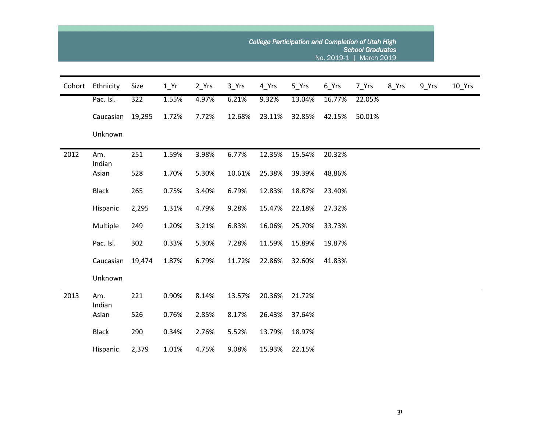|        |                 |        |        |         |        |        | College Participation and Completion of Utah High | No. 2019-1 | <b>School Graduates</b><br><b>March 2019</b> |       |       |          |
|--------|-----------------|--------|--------|---------|--------|--------|---------------------------------------------------|------------|----------------------------------------------|-------|-------|----------|
| Cohort | Ethnicity       | Size   | $1_Yr$ | $2_Yrs$ | 3_Yrs  | 4 Yrs  | 5_Yrs                                             | 6_Yrs      | 7_Yrs                                        | 8_Yrs | 9_Yrs | $10$ Yrs |
|        | Pac. Isl.       | 322    | 1.55%  | 4.97%   | 6.21%  | 9.32%  | 13.04%                                            | 16.77%     | 22.05%                                       |       |       |          |
|        | Caucasian       | 19,295 | 1.72%  | 7.72%   | 12.68% | 23.11% | 32.85%                                            | 42.15%     | 50.01%                                       |       |       |          |
|        | Unknown         |        |        |         |        |        |                                                   |            |                                              |       |       |          |
| 2012   | Am.             | 251    | 1.59%  | 3.98%   | 6.77%  | 12.35% | 15.54%                                            | 20.32%     |                                              |       |       |          |
|        | Indian<br>Asian | 528    | 1.70%  | 5.30%   | 10.61% | 25.38% | 39.39%                                            | 48.86%     |                                              |       |       |          |
|        | <b>Black</b>    | 265    | 0.75%  | 3.40%   | 6.79%  | 12.83% | 18.87%                                            | 23.40%     |                                              |       |       |          |
|        | Hispanic        | 2,295  | 1.31%  | 4.79%   | 9.28%  | 15.47% | 22.18%                                            | 27.32%     |                                              |       |       |          |
|        | Multiple        | 249    | 1.20%  | 3.21%   | 6.83%  | 16.06% | 25.70%                                            | 33.73%     |                                              |       |       |          |
|        | Pac. Isl.       | 302    | 0.33%  | 5.30%   | 7.28%  | 11.59% | 15.89%                                            | 19.87%     |                                              |       |       |          |
|        | Caucasian       | 19,474 | 1.87%  | 6.79%   | 11.72% | 22.86% | 32.60%                                            | 41.83%     |                                              |       |       |          |
|        | Unknown         |        |        |         |        |        |                                                   |            |                                              |       |       |          |
| 2013   | Am.<br>Indian   | 221    | 0.90%  | 8.14%   | 13.57% | 20.36% | 21.72%                                            |            |                                              |       |       |          |
|        | Asian           | 526    | 0.76%  | 2.85%   | 8.17%  | 26.43% | 37.64%                                            |            |                                              |       |       |          |
|        | <b>Black</b>    | 290    | 0.34%  | 2.76%   | 5.52%  | 13.79% | 18.97%                                            |            |                                              |       |       |          |
|        | Hispanic        | 2,379  | 1.01%  | 4.75%   | 9.08%  | 15.93% | 22.15%                                            |            |                                              |       |       |          |

 $\sim$ 

and the control of the control of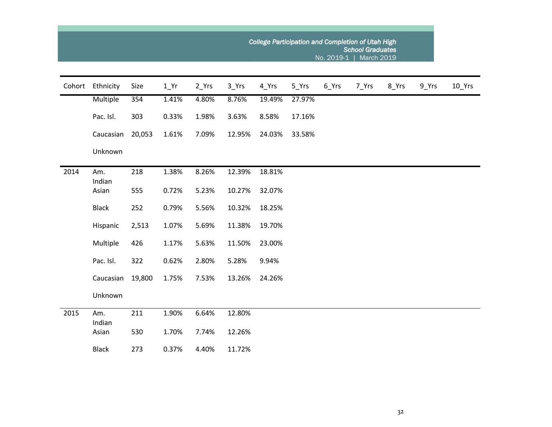|        |               |        |        |       | <b>College Participation and Completion of Utah High</b> |        |        |                    |       |       |                    |          |
|--------|---------------|--------|--------|-------|----------------------------------------------------------|--------|--------|--------------------|-------|-------|--------------------|----------|
| Cohort | Ethnicity     | Size   | $1$ Yr | 2_Yrs | 3_Yrs                                                    | 4_Yrs  | 5_Yrs  | $6$ <sup>Yrs</sup> | 7_Yrs | 8_Yrs | $9$ <sup>Yrs</sup> | $10$ Yrs |
|        | Multiple      | 354    | 1.41%  | 4.80% | 8.76%                                                    | 19.49% | 27.97% |                    |       |       |                    |          |
|        | Pac. Isl.     | 303    | 0.33%  | 1.98% | 3.63%                                                    | 8.58%  | 17.16% |                    |       |       |                    |          |
|        | Caucasian     | 20,053 | 1.61%  | 7.09% | 12.95%                                                   | 24.03% | 33.58% |                    |       |       |                    |          |
|        | Unknown       |        |        |       |                                                          |        |        |                    |       |       |                    |          |
| 2014   | Am.<br>Indian | 218    | 1.38%  | 8.26% | 12.39%                                                   | 18.81% |        |                    |       |       |                    |          |
|        | Asian         | 555    | 0.72%  | 5.23% | 10.27%                                                   | 32.07% |        |                    |       |       |                    |          |
|        | <b>Black</b>  | 252    | 0.79%  | 5.56% | 10.32%                                                   | 18.25% |        |                    |       |       |                    |          |
|        | Hispanic      | 2,513  | 1.07%  | 5.69% | 11.38%                                                   | 19.70% |        |                    |       |       |                    |          |
|        | Multiple      | 426    | 1.17%  | 5.63% | 11.50%                                                   | 23.00% |        |                    |       |       |                    |          |
|        | Pac. Isl.     | 322    | 0.62%  | 2.80% | 5.28%                                                    | 9.94%  |        |                    |       |       |                    |          |
|        | Caucasian     | 19,800 | 1.75%  | 7.53% | 13.26%                                                   | 24.26% |        |                    |       |       |                    |          |
|        | Unknown       |        |        |       |                                                          |        |        |                    |       |       |                    |          |
| 2015   | Am.<br>Indian | 211    | 1.90%  | 6.64% | 12.80%                                                   |        |        |                    |       |       |                    |          |
|        | Asian         | 530    | 1.70%  | 7.74% | 12.26%                                                   |        |        |                    |       |       |                    |          |
|        | <b>Black</b>  | 273    | 0.37%  | 4.40% | 11.72%                                                   |        |        |                    |       |       |                    |          |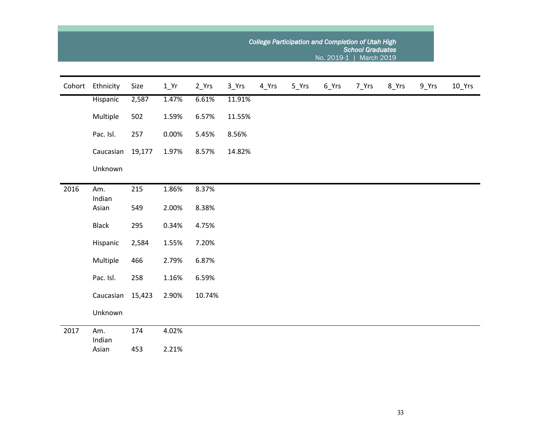|      |                  |        |        |         | College Participation and Completion of Utah High<br><b>School Graduates</b><br>No. 2019-1   March 2019 |       |       |         |       |       |                    |          |  |  |  |  |
|------|------------------|--------|--------|---------|---------------------------------------------------------------------------------------------------------|-------|-------|---------|-------|-------|--------------------|----------|--|--|--|--|
|      | Cohort Ethnicity | Size   | $1_Yr$ | $2_Yrs$ | 3_Yrs                                                                                                   | 4_Yrs | 5_Yrs | $6_Yrs$ | 7_Yrs | 8_Yrs | $9$ <sup>Yrs</sup> | $10$ Yrs |  |  |  |  |
|      | Hispanic         | 2,587  | 1.47%  | 6.61%   | 11.91%                                                                                                  |       |       |         |       |       |                    |          |  |  |  |  |
|      | Multiple         | 502    | 1.59%  | 6.57%   | 11.55%                                                                                                  |       |       |         |       |       |                    |          |  |  |  |  |
|      | Pac. Isl.        | 257    | 0.00%  | 5.45%   | 8.56%                                                                                                   |       |       |         |       |       |                    |          |  |  |  |  |
|      | Caucasian        | 19,177 | 1.97%  | 8.57%   | 14.82%                                                                                                  |       |       |         |       |       |                    |          |  |  |  |  |
|      | Unknown          |        |        |         |                                                                                                         |       |       |         |       |       |                    |          |  |  |  |  |
| 2016 | Am.<br>Indian    | 215    | 1.86%  | 8.37%   |                                                                                                         |       |       |         |       |       |                    |          |  |  |  |  |
|      | Asian            | 549    | 2.00%  | 8.38%   |                                                                                                         |       |       |         |       |       |                    |          |  |  |  |  |
|      | <b>Black</b>     | 295    | 0.34%  | 4.75%   |                                                                                                         |       |       |         |       |       |                    |          |  |  |  |  |
|      | Hispanic         | 2,584  | 1.55%  | 7.20%   |                                                                                                         |       |       |         |       |       |                    |          |  |  |  |  |
|      | Multiple         | 466    | 2.79%  | 6.87%   |                                                                                                         |       |       |         |       |       |                    |          |  |  |  |  |
|      | Pac. Isl.        | 258    | 1.16%  | 6.59%   |                                                                                                         |       |       |         |       |       |                    |          |  |  |  |  |
|      | Caucasian        | 15,423 | 2.90%  | 10.74%  |                                                                                                         |       |       |         |       |       |                    |          |  |  |  |  |
|      | Unknown          |        |        |         |                                                                                                         |       |       |         |       |       |                    |          |  |  |  |  |
| 2017 | Am.<br>Indian    | 174    | 4.02%  |         |                                                                                                         |       |       |         |       |       |                    |          |  |  |  |  |
|      | Asian            | 453    | 2.21%  |         |                                                                                                         |       |       |         |       |       |                    |          |  |  |  |  |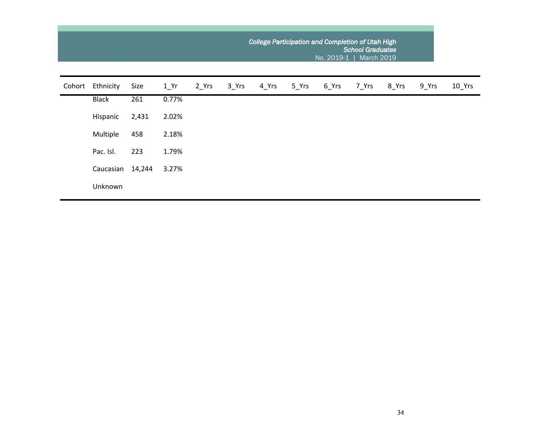|        |              |        |                   |       |       | College Participation and Completion of Utah High<br><b>School Graduates</b><br>No. 2019-1  <br><b>March 2019</b> |       |       |       |       |       |          |  |  |  |  |
|--------|--------------|--------|-------------------|-------|-------|-------------------------------------------------------------------------------------------------------------------|-------|-------|-------|-------|-------|----------|--|--|--|--|
| Cohort | Ethnicity    | Size   | $1$ <sup>Yr</sup> | 2 Yrs | 3 Yrs | 4 Yrs                                                                                                             | 5 Yrs | 6 Yrs | 7 Yrs | 8 Yrs | 9 Yrs | $10$ Yrs |  |  |  |  |
|        | <b>Black</b> | 261    | 0.77%             |       |       |                                                                                                                   |       |       |       |       |       |          |  |  |  |  |
|        | Hispanic     | 2,431  | 2.02%             |       |       |                                                                                                                   |       |       |       |       |       |          |  |  |  |  |
|        | Multiple     | 458    | 2.18%             |       |       |                                                                                                                   |       |       |       |       |       |          |  |  |  |  |
|        | Pac. Isl.    | 223    | 1.79%             |       |       |                                                                                                                   |       |       |       |       |       |          |  |  |  |  |
|        | Caucasian    | 14,244 | 3.27%             |       |       |                                                                                                                   |       |       |       |       |       |          |  |  |  |  |
|        | Unknown      |        |                   |       |       |                                                                                                                   |       |       |       |       |       |          |  |  |  |  |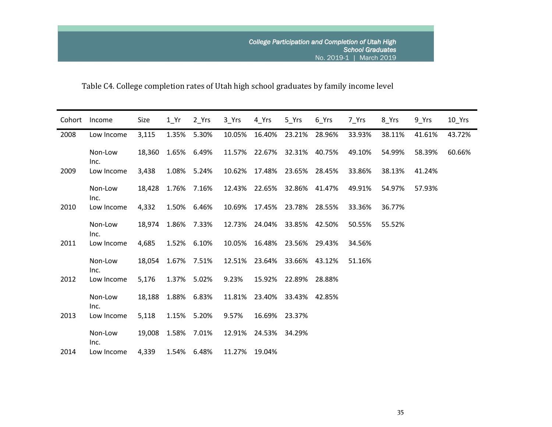Table C4. College completion rates of Utah high school graduates by family income level

| Cohort | Income          | Size   | $1$ Yr             | 2 Yrs       | 3 Yrs  | 4 Yrs  | 5 Yrs                | 6 Yrs  | 7 Yrs  | 8 Yrs  | $9$ Yrs | $10$ Yrs |
|--------|-----------------|--------|--------------------|-------------|--------|--------|----------------------|--------|--------|--------|---------|----------|
| 2008   | Low Income      | 3,115  | 1.35%              | 5.30%       | 10.05% | 16.40% | 23.21%               | 28.96% | 33.93% | 38.11% | 41.61%  | 43.72%   |
|        | Non-Low<br>Inc. | 18,360 |                    | 1.65% 6.49% | 11.57% | 22.67% | 32.31%               | 40.75% | 49.10% | 54.99% | 58.39%  | 60.66%   |
| 2009   | Low Income      | 3,438  | 1.08%              | 5.24%       | 10.62% | 17.48% | 23.65%               | 28.45% | 33.86% | 38.13% | 41.24%  |          |
|        | Non-Low<br>Inc. |        | 18,428 1.76% 7.16% |             | 12.43% |        | 22.65% 32.86% 41.47% |        | 49.91% | 54.97% | 57.93%  |          |
| 2010   | Low Income      | 4,332  |                    | 1.50% 6.46% | 10.69% | 17.45% | 23.78%               | 28.55% | 33.36% | 36.77% |         |          |
|        | Non-Low<br>Inc. | 18,974 |                    | 1.86% 7.33% | 12.73% | 24.04% | 33.85%               | 42.50% | 50.55% | 55.52% |         |          |
| 2011   | Low Income      | 4,685  |                    | 1.52% 6.10% | 10.05% | 16.48% | 23.56%               | 29.43% | 34.56% |        |         |          |
|        | Non-Low<br>Inc. |        | 18,054 1.67% 7.51% |             | 12.51% | 23.64% | 33.66%               | 43.12% | 51.16% |        |         |          |
| 2012   | Low Income      | 5,176  |                    | 1.37% 5.02% | 9.23%  |        | 15.92% 22.89%        | 28.88% |        |        |         |          |
|        | Non-Low<br>Inc. | 18,188 |                    | 1.88% 6.83% | 11.81% | 23.40% | 33.43%               | 42.85% |        |        |         |          |
| 2013   | Low Income      | 5,118  |                    | 1.15% 5.20% | 9.57%  |        | 16.69% 23.37%        |        |        |        |         |          |
|        | Non-Low<br>Inc. |        | 19,008 1.58% 7.01% |             | 12.91% |        | 24.53% 34.29%        |        |        |        |         |          |
| 2014   | Low Income      | 4,339  |                    | 1.54% 6.48% | 11.27% | 19.04% |                      |        |        |        |         |          |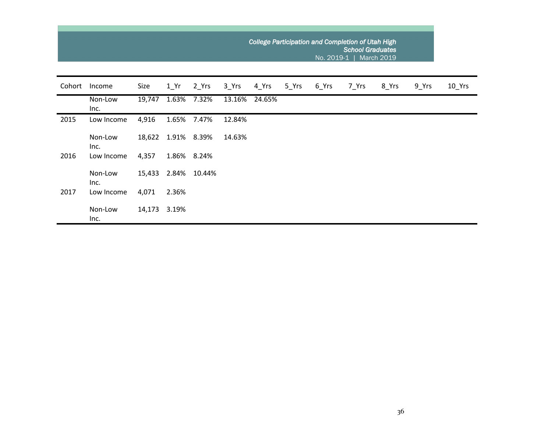|        |                 |        |       |             |        |        |       | No. 2019-1 | College Participation and Completion of Utah High<br><b>School Graduates</b> | March 2019 |       |        |
|--------|-----------------|--------|-------|-------------|--------|--------|-------|------------|------------------------------------------------------------------------------|------------|-------|--------|
| Cohort | Income          | Size   | 1 Yr  | 2 Yrs       | 3 Yrs  | 4 Yrs  | 5 Yrs | 6 Yrs      | 7 Yrs                                                                        | 8_Yrs      | 9_Yrs | 10_Yrs |
|        | Non-Low<br>Inc. | 19,747 |       | 1.63% 7.32% | 13.16% | 24.65% |       |            |                                                                              |            |       |        |
| 2015   | Low Income      | 4,916  | 1.65% | 7.47%       | 12.84% |        |       |            |                                                                              |            |       |        |
|        | Non-Low<br>Inc. | 18,622 |       | 1.91% 8.39% | 14.63% |        |       |            |                                                                              |            |       |        |
| 2016   | Low Income      | 4,357  |       | 1.86% 8.24% |        |        |       |            |                                                                              |            |       |        |
|        | Non-Low<br>Inc. | 15,433 | 2.84% | 10.44%      |        |        |       |            |                                                                              |            |       |        |
| 2017   | Low Income      | 4,071  | 2.36% |             |        |        |       |            |                                                                              |            |       |        |
|        | Non-Low<br>Inc. | 14,173 | 3.19% |             |        |        |       |            |                                                                              |            |       |        |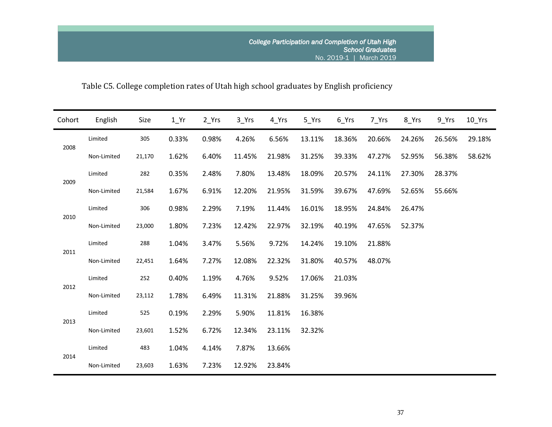# Table C5. College completion rates of Utah high school graduates by English proficiency

| Cohort | English     | Size   | $1_Yr$ | $2_Yrs$ | $3$ <sup>Yrs</sup> | 4_Yrs  | 5 Yrs  | 6 Yrs  | 7 Yrs  | 8_Yrs  | 9 Yrs  | $10$ Yrs |
|--------|-------------|--------|--------|---------|--------------------|--------|--------|--------|--------|--------|--------|----------|
|        | Limited     | 305    | 0.33%  | 0.98%   | 4.26%              | 6.56%  | 13.11% | 18.36% | 20.66% | 24.26% | 26.56% | 29.18%   |
| 2008   | Non-Limited | 21,170 | 1.62%  | 6.40%   | 11.45%             | 21.98% | 31.25% | 39.33% | 47.27% | 52.95% | 56.38% | 58.62%   |
|        | Limited     | 282    | 0.35%  | 2.48%   | 7.80%              | 13.48% | 18.09% | 20.57% | 24.11% | 27.30% | 28.37% |          |
| 2009   | Non-Limited | 21,584 | 1.67%  | 6.91%   | 12.20%             | 21.95% | 31.59% | 39.67% | 47.69% | 52.65% | 55.66% |          |
|        | Limited     | 306    | 0.98%  | 2.29%   | 7.19%              | 11.44% | 16.01% | 18.95% | 24.84% | 26.47% |        |          |
| 2010   | Non-Limited | 23,000 | 1.80%  | 7.23%   | 12.42%             | 22.97% | 32.19% | 40.19% | 47.65% | 52.37% |        |          |
| 2011   | Limited     | 288    | 1.04%  | 3.47%   | 5.56%              | 9.72%  | 14.24% | 19.10% | 21.88% |        |        |          |
|        | Non-Limited | 22,451 | 1.64%  | 7.27%   | 12.08%             | 22.32% | 31.80% | 40.57% | 48.07% |        |        |          |
| 2012   | Limited     | 252    | 0.40%  | 1.19%   | 4.76%              | 9.52%  | 17.06% | 21.03% |        |        |        |          |
|        | Non-Limited | 23,112 | 1.78%  | 6.49%   | 11.31%             | 21.88% | 31.25% | 39.96% |        |        |        |          |
| 2013   | Limited     | 525    | 0.19%  | 2.29%   | 5.90%              | 11.81% | 16.38% |        |        |        |        |          |
|        | Non-Limited | 23,601 | 1.52%  | 6.72%   | 12.34%             | 23.11% | 32.32% |        |        |        |        |          |
|        | Limited     | 483    | 1.04%  | 4.14%   | 7.87%              | 13.66% |        |        |        |        |        |          |
| 2014   | Non-Limited | 23,603 | 1.63%  | 7.23%   | 12.92%             | 23.84% |        |        |        |        |        |          |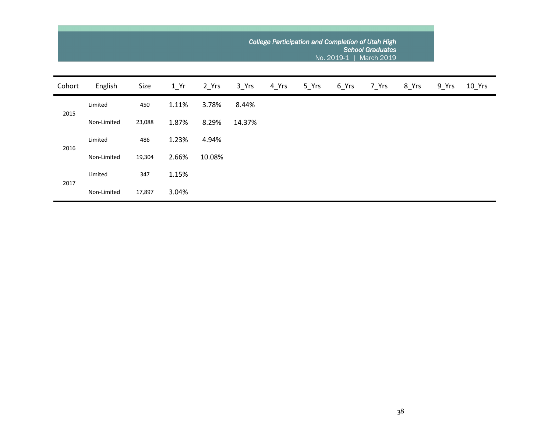|        |             |        |       |        | College Participation and Completion of Utah High<br><b>School Graduates</b><br>No. 2019-1  <br>March 2019 |       |       |       |       |       |       |          |  |  |
|--------|-------------|--------|-------|--------|------------------------------------------------------------------------------------------------------------|-------|-------|-------|-------|-------|-------|----------|--|--|
| Cohort | English     | Size   | 1 Yr  | 2 Yrs  | 3 Yrs                                                                                                      | 4 Yrs | 5 Yrs | 6_Yrs | 7 Yrs | 8_Yrs | 9 Yrs | $10$ Yrs |  |  |
| 2015   | Limited     | 450    | 1.11% | 3.78%  | 8.44%                                                                                                      |       |       |       |       |       |       |          |  |  |
|        | Non-Limited | 23,088 | 1.87% | 8.29%  | 14.37%                                                                                                     |       |       |       |       |       |       |          |  |  |
| 2016   | Limited     | 486    | 1.23% | 4.94%  |                                                                                                            |       |       |       |       |       |       |          |  |  |
|        | Non-Limited | 19,304 | 2.66% | 10.08% |                                                                                                            |       |       |       |       |       |       |          |  |  |
| 2017   | Limited     | 347    | 1.15% |        |                                                                                                            |       |       |       |       |       |       |          |  |  |
|        | Non-Limited | 17,897 | 3.04% |        |                                                                                                            |       |       |       |       |       |       |          |  |  |

**College**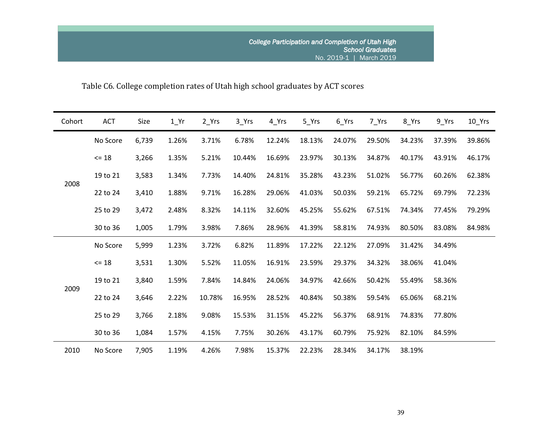Table C6. College completion rates of Utah high school graduates by ACT scores

| Cohort | ACT       | Size  | $1$ <sup>Yr</sup> | $2_Yrs$ | $3$ <sup>Yrs</sup> | 4_Yrs  | $5$ <sup>Yrs</sup> | $6$ <sup>Yrs</sup> | 7_Yrs  | 8_Yrs  | $9$ <sup>Yrs</sup> | $10$ Yrs |
|--------|-----------|-------|-------------------|---------|--------------------|--------|--------------------|--------------------|--------|--------|--------------------|----------|
|        | No Score  | 6,739 | 1.26%             | 3.71%   | 6.78%              | 12.24% | 18.13%             | 24.07%             | 29.50% | 34.23% | 37.39%             | 39.86%   |
| 2008   | $\leq 18$ | 3,266 | 1.35%             | 5.21%   | 10.44%             | 16.69% | 23.97%             | 30.13%             | 34.87% | 40.17% | 43.91%             | 46.17%   |
|        | 19 to 21  | 3,583 | 1.34%             | 7.73%   | 14.40%             | 24.81% | 35.28%             | 43.23%             | 51.02% | 56.77% | 60.26%             | 62.38%   |
|        | 22 to 24  | 3,410 | 1.88%             | 9.71%   | 16.28%             | 29.06% | 41.03%             | 50.03%             | 59.21% | 65.72% | 69.79%             | 72.23%   |
|        | 25 to 29  | 3,472 | 2.48%             | 8.32%   | 14.11%             | 32.60% | 45.25%             | 55.62%             | 67.51% | 74.34% | 77.45%             | 79.29%   |
|        | 30 to 36  | 1,005 | 1.79%             | 3.98%   | 7.86%              | 28.96% | 41.39%             | 58.81%             | 74.93% | 80.50% | 83.08%             | 84.98%   |
|        | No Score  | 5,999 | 1.23%             | 3.72%   | 6.82%              | 11.89% | 17.22%             | 22.12%             | 27.09% | 31.42% | 34.49%             |          |
|        | $\leq 18$ | 3,531 | 1.30%             | 5.52%   | 11.05%             | 16.91% | 23.59%             | 29.37%             | 34.32% | 38.06% | 41.04%             |          |
|        | 19 to 21  | 3,840 | 1.59%             | 7.84%   | 14.84%             | 24.06% | 34.97%             | 42.66%             | 50.42% | 55.49% | 58.36%             |          |
| 2009   | 22 to 24  | 3,646 | 2.22%             | 10.78%  | 16.95%             | 28.52% | 40.84%             | 50.38%             | 59.54% | 65.06% | 68.21%             |          |
|        | 25 to 29  | 3,766 | 2.18%             | 9.08%   | 15.53%             | 31.15% | 45.22%             | 56.37%             | 68.91% | 74.83% | 77.80%             |          |
|        | 30 to 36  | 1,084 | 1.57%             | 4.15%   | 7.75%              | 30.26% | 43.17%             | 60.79%             | 75.92% | 82.10% | 84.59%             |          |
| 2010   | No Score  | 7,905 | 1.19%             | 4.26%   | 7.98%              | 15.37% | 22.23%             | 28.34%             | 34.17% | 38.19% |                    |          |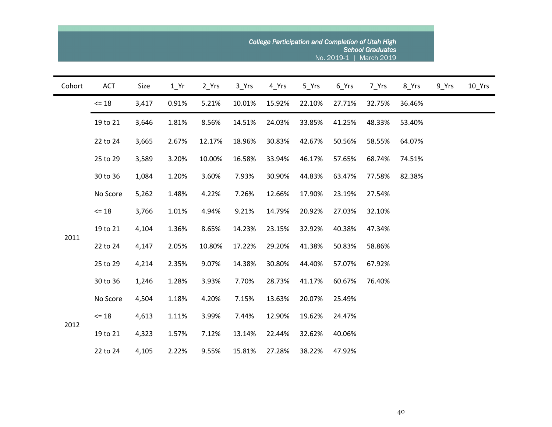|        | College Participation and Completion of Utah High<br><b>School Graduates</b><br>No. 2019-1  <br><b>March 2019</b> |       |                   |         |        |        |        |        |        |        |       |                     |  |  |
|--------|-------------------------------------------------------------------------------------------------------------------|-------|-------------------|---------|--------|--------|--------|--------|--------|--------|-------|---------------------|--|--|
| Cohort | ACT                                                                                                               | Size  | $1$ <sup>Yr</sup> | $2_Yrs$ | 3_Yrs  | 4 Yrs  | 5_Yrs  | 6_Yrs  | 7_Yrs  | 8_Yrs  | 9_Yrs | $10$ <sup>Yrs</sup> |  |  |
|        | $= 18$                                                                                                            | 3,417 | 0.91%             | 5.21%   | 10.01% | 15.92% | 22.10% | 27.71% | 32.75% | 36.46% |       |                     |  |  |
|        | 19 to 21                                                                                                          | 3,646 | 1.81%             | 8.56%   | 14.51% | 24.03% | 33.85% | 41.25% | 48.33% | 53.40% |       |                     |  |  |
|        | 22 to 24                                                                                                          | 3,665 | 2.67%             | 12.17%  | 18.96% | 30.83% | 42.67% | 50.56% | 58.55% | 64.07% |       |                     |  |  |
|        | 25 to 29                                                                                                          | 3,589 | 3.20%             | 10.00%  | 16.58% | 33.94% | 46.17% | 57.65% | 68.74% | 74.51% |       |                     |  |  |
|        | 30 to 36                                                                                                          | 1,084 | 1.20%             | 3.60%   | 7.93%  | 30.90% | 44.83% | 63.47% | 77.58% | 82.38% |       |                     |  |  |
|        | No Score                                                                                                          | 5,262 | 1.48%             | 4.22%   | 7.26%  | 12.66% | 17.90% | 23.19% | 27.54% |        |       |                     |  |  |
|        | $<= 18$                                                                                                           | 3,766 | 1.01%             | 4.94%   | 9.21%  | 14.79% | 20.92% | 27.03% | 32.10% |        |       |                     |  |  |
| 2011   | 19 to 21                                                                                                          | 4,104 | 1.36%             | 8.65%   | 14.23% | 23.15% | 32.92% | 40.38% | 47.34% |        |       |                     |  |  |
|        | 22 to 24                                                                                                          | 4,147 | 2.05%             | 10.80%  | 17.22% | 29.20% | 41.38% | 50.83% | 58.86% |        |       |                     |  |  |
|        | 25 to 29                                                                                                          | 4,214 | 2.35%             | 9.07%   | 14.38% | 30.80% | 44.40% | 57.07% | 67.92% |        |       |                     |  |  |
|        | 30 to 36                                                                                                          | 1,246 | 1.28%             | 3.93%   | 7.70%  | 28.73% | 41.17% | 60.67% | 76.40% |        |       |                     |  |  |
|        | No Score                                                                                                          | 4,504 | 1.18%             | 4.20%   | 7.15%  | 13.63% | 20.07% | 25.49% |        |        |       |                     |  |  |
| 2012   | $= 18$                                                                                                            | 4,613 | 1.11%             | 3.99%   | 7.44%  | 12.90% | 19.62% | 24.47% |        |        |       |                     |  |  |
|        | 19 to 21                                                                                                          | 4,323 | 1.57%             | 7.12%   | 13.14% | 22.44% | 32.62% | 40.06% |        |        |       |                     |  |  |
|        | 22 to 24                                                                                                          | 4,105 | 2.22%             | 9.55%   | 15.81% | 27.28% | 38.22% | 47.92% |        |        |       |                     |  |  |

 $\sim 10$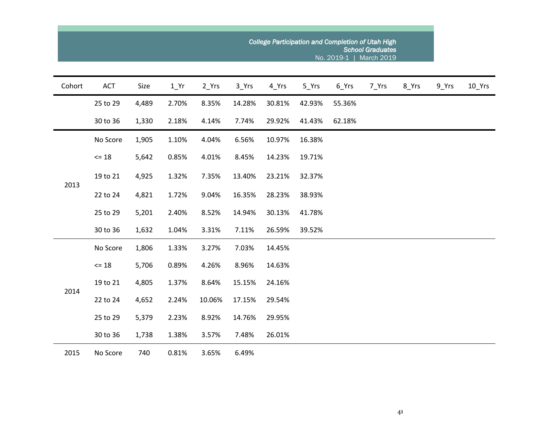|        | College Participation and Completion of Utah High<br><b>School Graduates</b><br>No. 2019-1   March 2019 |       |        |         |        |        |        |        |       |       |       |                     |  |  |
|--------|---------------------------------------------------------------------------------------------------------|-------|--------|---------|--------|--------|--------|--------|-------|-------|-------|---------------------|--|--|
| Cohort | ACT                                                                                                     | Size  | $1$ Yr | $2_Yrs$ | 3_Yrs  | 4_Yrs  | 5_Yrs  | 6_Yrs  | 7_Yrs | 8_Yrs | 9_Yrs | $10$ <sup>Yrs</sup> |  |  |
|        | 25 to 29                                                                                                | 4,489 | 2.70%  | 8.35%   | 14.28% | 30.81% | 42.93% | 55.36% |       |       |       |                     |  |  |
|        | 30 to 36                                                                                                | 1,330 | 2.18%  | 4.14%   | 7.74%  | 29.92% | 41.43% | 62.18% |       |       |       |                     |  |  |
|        | No Score                                                                                                | 1,905 | 1.10%  | 4.04%   | 6.56%  | 10.97% | 16.38% |        |       |       |       |                     |  |  |
| 2013   | $= 18$                                                                                                  | 5,642 | 0.85%  | 4.01%   | 8.45%  | 14.23% | 19.71% |        |       |       |       |                     |  |  |
|        | 19 to 21                                                                                                | 4,925 | 1.32%  | 7.35%   | 13.40% | 23.21% | 32.37% |        |       |       |       |                     |  |  |
|        | 22 to 24                                                                                                | 4,821 | 1.72%  | 9.04%   | 16.35% | 28.23% | 38.93% |        |       |       |       |                     |  |  |
|        | 25 to 29                                                                                                | 5,201 | 2.40%  | 8.52%   | 14.94% | 30.13% | 41.78% |        |       |       |       |                     |  |  |
|        | 30 to 36                                                                                                | 1,632 | 1.04%  | 3.31%   | 7.11%  | 26.59% | 39.52% |        |       |       |       |                     |  |  |
|        | No Score                                                                                                | 1,806 | 1.33%  | 3.27%   | 7.03%  | 14.45% |        |        |       |       |       |                     |  |  |
|        | $= 18$                                                                                                  | 5,706 | 0.89%  | 4.26%   | 8.96%  | 14.63% |        |        |       |       |       |                     |  |  |
|        | 19 to 21                                                                                                | 4,805 | 1.37%  | 8.64%   | 15.15% | 24.16% |        |        |       |       |       |                     |  |  |
| 2014   | 22 to 24                                                                                                | 4,652 | 2.24%  | 10.06%  | 17.15% | 29.54% |        |        |       |       |       |                     |  |  |
|        | 25 to 29                                                                                                | 5,379 | 2.23%  | 8.92%   | 14.76% | 29.95% |        |        |       |       |       |                     |  |  |
|        | 30 to 36                                                                                                | 1,738 | 1.38%  | 3.57%   | 7.48%  | 26.01% |        |        |       |       |       |                     |  |  |
| 2015   | No Score                                                                                                | 740   | 0.81%  | 3.65%   | 6.49%  |        |        |        |       |       |       |                     |  |  |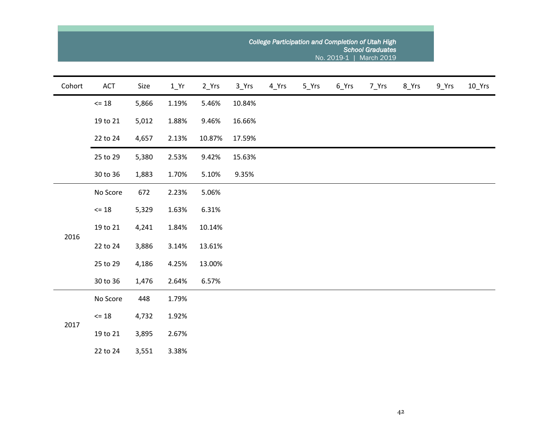| Cohort | ACT             | Size  | $1$ <sup>Yr</sup> | $2_Yrs$ | $3$ <sup>Yrs</sup> | 4_Yrs | $5$ <sup>Yrs</sup> | 6_Yrs | 7_Yrs | 8_Yrs | 9_Yrs | $10$ <sup>Yrs</sup> |
|--------|-----------------|-------|-------------------|---------|--------------------|-------|--------------------|-------|-------|-------|-------|---------------------|
|        | $\Leftarrow$ 18 | 5,866 | 1.19%             | 5.46%   | 10.84%             |       |                    |       |       |       |       |                     |
|        | 19 to 21        | 5,012 | 1.88%             | 9.46%   | 16.66%             |       |                    |       |       |       |       |                     |
|        | 22 to 24        | 4,657 | 2.13%             | 10.87%  | 17.59%             |       |                    |       |       |       |       |                     |
|        | 25 to 29        | 5,380 | 2.53%             | 9.42%   | 15.63%             |       |                    |       |       |       |       |                     |
|        | 30 to 36        | 1,883 | 1.70%             | 5.10%   | 9.35%              |       |                    |       |       |       |       |                     |
|        | No Score        | 672   | 2.23%             | 5.06%   |                    |       |                    |       |       |       |       |                     |
|        | $\Leftarrow$ 18 | 5,329 | 1.63%             | 6.31%   |                    |       |                    |       |       |       |       |                     |
| 2016   | 19 to 21        | 4,241 | 1.84%             | 10.14%  |                    |       |                    |       |       |       |       |                     |
|        | 22 to 24        | 3,886 | 3.14%             | 13.61%  |                    |       |                    |       |       |       |       |                     |
|        | 25 to 29        | 4,186 | 4.25%             | 13.00%  |                    |       |                    |       |       |       |       |                     |
|        | 30 to 36        | 1,476 | 2.64%             | 6.57%   |                    |       |                    |       |       |       |       |                     |
|        | No Score        | 448   | 1.79%             |         |                    |       |                    |       |       |       |       |                     |
| 2017   | $\Leftarrow$ 18 | 4,732 | 1.92%             |         |                    |       |                    |       |       |       |       |                     |
|        | 19 to 21        | 3,895 | 2.67%             |         |                    |       |                    |       |       |       |       |                     |
|        | 22 to 24        | 3,551 | 3.38%             |         |                    |       |                    |       |       |       |       |                     |